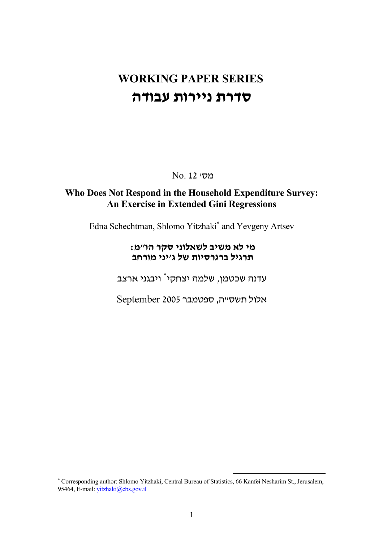# **WORKING PAPER SERIES סדרת ניירות עבודה**

מס' 12 .No

# **Who Does Not Respond in the Household Expenditure Survey: An Exercise in Extended Gini Regressions**

Edna Schechtman, Shlomo Yitzhaki<sup>∗</sup> and Yevgeny Artsev

## **מי לא משיב לשאלוני סקר הו"מ: תרגיל ברגרסיות של ג'יני מורחב**

עדנה שכטמו, שלמה יצחקי\* ויבגני ארצב

אלול תשס"ה, ספטמבר 2005 September

 $\overline{a}$ 

<sup>∗</sup> Corresponding author: Shlomo Yitzhaki, Central Bureau of Statistics, 66 Kanfei Nesharim St., Jerusalem, 95464, E-mail: yitzhaki@cbs.gov.il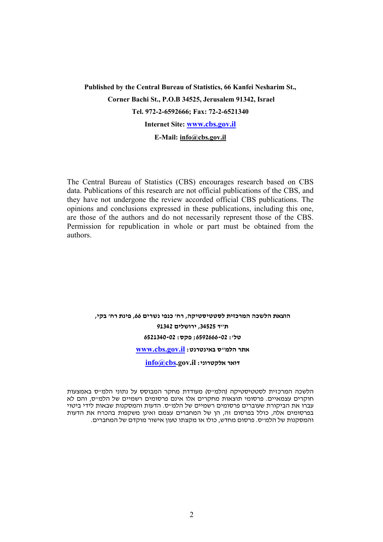# **Published by the Central Bureau of Statistics, 66 Kanfei Nesharim St., Corner Bachi St., P.O.B 34525, Jerusalem 91342, Israel Tel. 972-2-6592666; Fax: 72-2-6521340 Internet Site: www.cbs.gov.il E-Mail: info@cbs.gov.il**

The Central Bureau of Statistics (CBS) encourages research based on CBS data. Publications of this research are not official publications of the CBS, and they have not undergone the review accorded official CBS publications. The opinions and conclusions expressed in these publications, including this one, are those of the authors and do not necessarily represent those of the CBS. Permission for republication in whole or part must be obtained from the authors.

> **הוצאת הלשכה המרכזית לסטטיסטיקה, רח' כנפי נשרים ,66 פינת רח' בקי, ת"ד ,34525 ירושלים 91342 טל': 6592666-02; פקס: 6521340-02 אתר הלמ"ס באינטרנט: il.gov.cbs.www**

> > **info@cbs.gov.il :אלקטרוני דואר**

הלשכה המרכזית לסטטיסטיקה (הלמ"ס) מעודדת מחקר המבוסס על נתוני הלמ"ס באמצעות חוקרים עצמאיים. פרסומי תוצאות מחקרים אלו אינם פרסומים רשמיים של הלמ"ס, והם לא עברו את הביקורת שעוברים פרסומים רשמיים של הלמ"ס. הדעות והמסקנות שבאות לידי ביטוי בפרסומים אלה, כולל בפרסום זה, הן של המחברים עצמם ואינן משקפות בהכרח את הדעות והמסקנות של הלמ"ס. פרסום מחדש, כולו או מקצתו טעון אישור מוקדם של המחברים.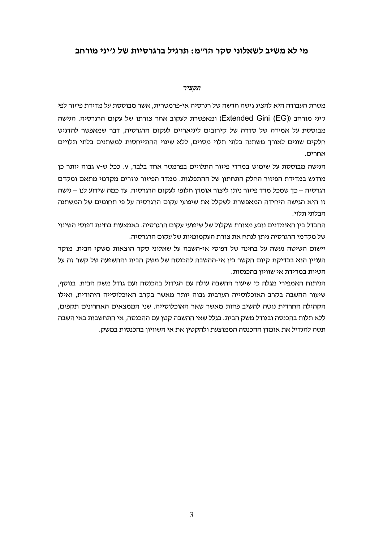#### **מי לא משיב לשאלוני סקר הו"מ: תרגיל ברגרסיות של ג'יני מורחב**

#### *תקציר*

מטרת העבודה היא להציג גישה חדשה של רגרסיה אי-פרמטרית, אשר מבוססת על מדידת פיזור לפי ג'יני מורחב ((EG (Gini Extended (ומאפשרת לעקוב אחר צורתו של עקום הרגרסיה. הגישה מבוססת על אמידה של סדרה של קירובים ליניאריים לעקום הרגרסיה, דבר שמאפשר להדגיש חלקים שונים לאורך משתנה בלתי תלוי מסוים, ללא שינוי ההתייחסות למשתנים בלתי תלויים אחרים.

הגישה מבוססת על שימוש במדדי פיזור התלויים בפרמטר אחד בלבד, ν. ככל ש-v גבוה יותר כן מודגש במדידת הפיזור החלק התחתון של ההתפלגות. ממדד הפיזור גוזרים מקדמי מתאם ומקדם רגרסיה – כך שמכל מדד פיזור ניתן ליצור אומדן חלופי לעקום הרגרסיה. עד כמה שידוע לנו – גישה זו היא הגישה היחידה המאפשרת לשקלל את שיפועי עקום הרגרסיה על פי תחומים של המשתנה הבלתי תלוי.

ההבדל בין האומדנים נובע מצורת שקלול של שיפועי עקום הרגרסיה. באמצעות בחינת דפוסי השינוי של מקדמי הרגרסיה ניתן לנתח את צורת העקמומיות של עקום הרגרסיה.

יישום השיטה נעשה על בחינה של דפוסי אי-השבה על שאלוני סקר הוצאות משקי הבית. מוקד העניין הוא בבדיקת קיום הקשר בין אי-ההשבה להכנסה של משק הבית וההשפעה של קשר זה על הטיות במדידת אי שוויון בהכנסות.

הניתוח האמפירי מגלה כי שיעור ההשבה עולה עם הגידול בהכנסה ועם גודל משק הבית. בנוסף, שיעור ההשבה בקרב האוכלוסייה הערבית גבוה יותר מאשר בקרב האוכלוסייה היהודית, ואילו הקהילה החרדית נוטה להשיב פחות מאשר שאר האוכלוסייה. שני הממצאים האחרונים תקפים, ללא תלות בהכנסה ובגודל משק הבית. בגלל שאי ההשבה קטן עם ההכנסה, אי התחשבות באי השבה תטה להגדיל את אומדן ההכנסה הממוצעת ולהקטין את אי השוויון בהכנסות במשק.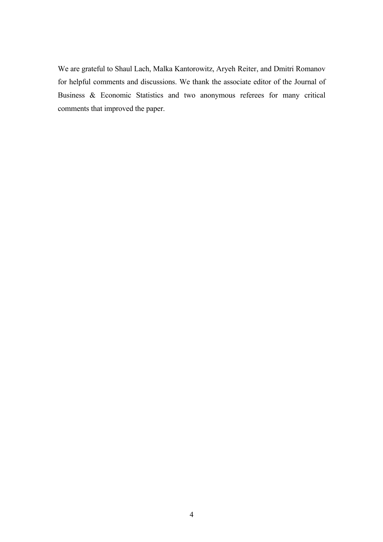We are grateful to Shaul Lach, Malka Kantorowitz, Aryeh Reiter, and Dmitri Romanov for helpful comments and discussions. We thank the associate editor of the Journal of Business & Economic Statistics and two anonymous referees for many critical comments that improved the paper.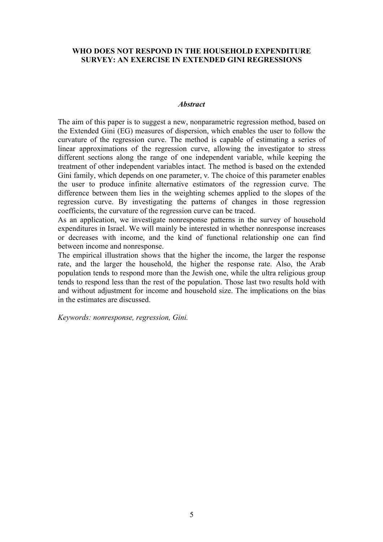### **WHO DOES NOT RESPOND IN THE HOUSEHOLD EXPENDITURE SURVEY: AN EXERCISE IN EXTENDED GINI REGRESSIONS**

### *Abstract*

The aim of this paper is to suggest a new, nonparametric regression method, based on the Extended Gini (EG) measures of dispersion, which enables the user to follow the curvature of the regression curve. The method is capable of estimating a series of linear approximations of the regression curve, allowing the investigator to stress different sections along the range of one independent variable, while keeping the treatment of other independent variables intact. The method is based on the extended Gini family, which depends on one parameter, ν. The choice of this parameter enables the user to produce infinite alternative estimators of the regression curve. The difference between them lies in the weighting schemes applied to the slopes of the regression curve. By investigating the patterns of changes in those regression coefficients, the curvature of the regression curve can be traced.

As an application, we investigate nonresponse patterns in the survey of household expenditures in Israel. We will mainly be interested in whether nonresponse increases or decreases with income, and the kind of functional relationship one can find between income and nonresponse.

The empirical illustration shows that the higher the income, the larger the response rate, and the larger the household, the higher the response rate. Also, the Arab population tends to respond more than the Jewish one, while the ultra religious group tends to respond less than the rest of the population. Those last two results hold with and without adjustment for income and household size. The implications on the bias in the estimates are discussed.

*Keywords: nonresponse, regression, Gini.*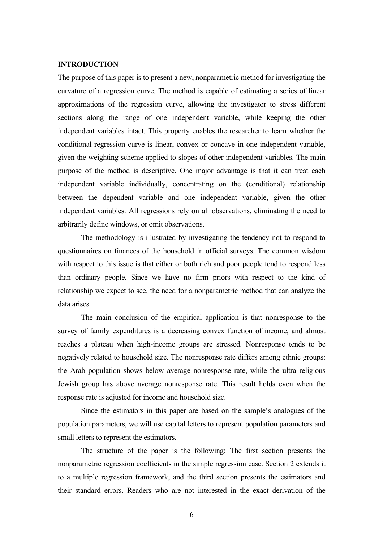#### **INTRODUCTION**

The purpose of this paper is to present a new, nonparametric method for investigating the curvature of a regression curve. The method is capable of estimating a series of linear approximations of the regression curve, allowing the investigator to stress different sections along the range of one independent variable, while keeping the other independent variables intact. This property enables the researcher to learn whether the conditional regression curve is linear, convex or concave in one independent variable, given the weighting scheme applied to slopes of other independent variables. The main purpose of the method is descriptive. One major advantage is that it can treat each independent variable individually, concentrating on the (conditional) relationship between the dependent variable and one independent variable, given the other independent variables. All regressions rely on all observations, eliminating the need to arbitrarily define windows, or omit observations.

The methodology is illustrated by investigating the tendency not to respond to questionnaires on finances of the household in official surveys. The common wisdom with respect to this issue is that either or both rich and poor people tend to respond less than ordinary people. Since we have no firm priors with respect to the kind of relationship we expect to see, the need for a nonparametric method that can analyze the data arises.

The main conclusion of the empirical application is that nonresponse to the survey of family expenditures is a decreasing convex function of income, and almost reaches a plateau when high-income groups are stressed. Nonresponse tends to be negatively related to household size. The nonresponse rate differs among ethnic groups: the Arab population shows below average nonresponse rate, while the ultra religious Jewish group has above average nonresponse rate. This result holds even when the response rate is adjusted for income and household size.

 Since the estimators in this paper are based on the sample's analogues of the population parameters, we will use capital letters to represent population parameters and small letters to represent the estimators.

The structure of the paper is the following: The first section presents the nonparametric regression coefficients in the simple regression case. Section 2 extends it to a multiple regression framework, and the third section presents the estimators and their standard errors. Readers who are not interested in the exact derivation of the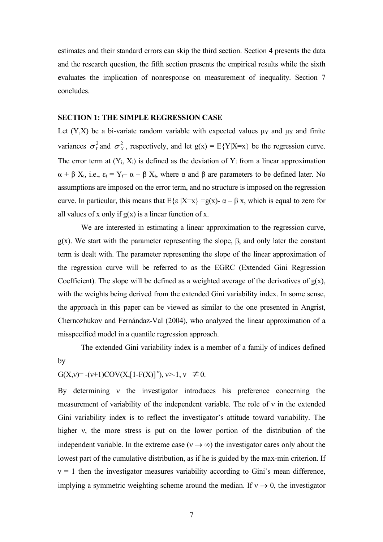estimates and their standard errors can skip the third section. Section 4 presents the data and the research question, the fifth section presents the empirical results while the sixth evaluates the implication of nonresponse on measurement of inequality. Section 7 concludes.

#### **SECTION 1: THE SIMPLE REGRESSION CASE**

Let  $(Y,X)$  be a bi-variate random variable with expected values  $\mu_Y$  and  $\mu_X$  and finite variances  $\sigma_Y^2$  and  $\sigma_X^2$ , respectively, and let  $g(x) = E{Y|X=x}$  be the regression curve. The error term at  $(Y_i, X_i)$  is defined as the deviation of  $Y_i$  from a linear approximation  $\alpha + \beta X_i$ , i.e.,  $\varepsilon_i = Y_i - \alpha - \beta X_i$ , where  $\alpha$  and  $\beta$  are parameters to be defined later. No assumptions are imposed on the error term, and no structure is imposed on the regression curve. In particular, this means that  $E\{\varepsilon |X=x\} = g(x) - \alpha - \beta x$ , which is equal to zero for all values of x only if  $g(x)$  is a linear function of x.

 We are interested in estimating a linear approximation to the regression curve, g(x). We start with the parameter representing the slope, β, and only later the constant term is dealt with. The parameter representing the slope of the linear approximation of the regression curve will be referred to as the EGRC (Extended Gini Regression Coefficient). The slope will be defined as a weighted average of the derivatives of  $g(x)$ , with the weights being derived from the extended Gini variability index. In some sense, the approach in this paper can be viewed as similar to the one presented in Angrist, Chernozhukov and Fernándaz-Val (2004), who analyzed the linear approximation of a misspecified model in a quantile regression approach.

 The extended Gini variability index is a member of a family of indices defined by

 $G(X,y) = -(v+1)COV(X, [1-F(X)]^{\nu}), v>1, v \neq 0.$ 

By determining *v* the investigator introduces his preference concerning the measurement of variability of the independent variable. The role of ν in the extended Gini variability index is to reflect the investigator's attitude toward variability. The higher *v*, the more stress is put on the lower portion of the distribution of the independent variable. In the extreme case ( $v \rightarrow \infty$ ) the investigator cares only about the lowest part of the cumulative distribution, as if he is guided by the max-min criterion. If  $v = 1$  then the investigator measures variability according to Gini's mean difference, implying a symmetric weighting scheme around the median. If  $v \rightarrow 0$ , the investigator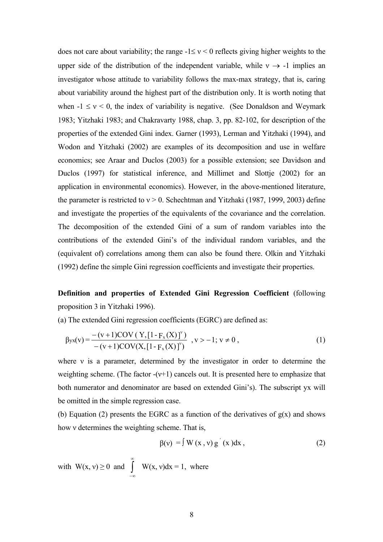does not care about variability; the range  $-1 \le v \le 0$  reflects giving higher weights to the upper side of the distribution of the independent variable, while  $v \rightarrow -1$  implies an investigator whose attitude to variability follows the max-max strategy, that is, caring about variability around the highest part of the distribution only. It is worth noting that when  $-1 \le v \le 0$ , the index of variability is negative. (See Donaldson and Weymark 1983; Yitzhaki 1983; and Chakravarty 1988, chap. 3, pp. 82-102, for description of the properties of the extended Gini index. Garner (1993), Lerman and Yitzhaki (1994), and Wodon and Yitzhaki (2002) are examples of its decomposition and use in welfare economics; see Araar and Duclos (2003) for a possible extension; see Davidson and Duclos (1997) for statistical inference, and Millimet and Slottje (2002) for an application in environmental economics). However, in the above-mentioned literature, the parameter is restricted to  $v > 0$ . Schechtman and Yitzhaki (1987, 1999, 2003) define and investigate the properties of the equivalents of the covariance and the correlation. The decomposition of the extended Gini of a sum of random variables into the contributions of the extended Gini's of the individual random variables, and the (equivalent of) correlations among them can also be found there. Olkin and Yitzhaki (1992) define the simple Gini regression coefficients and investigate their properties.

**Definition and properties of Extended Gini Regression Coefficient** (following proposition 3 in Yitzhaki 1996).

(a) The extended Gini regression coefficients (EGRC) are defined as:

$$
\beta_{yx}(v) = \frac{- (v+1)COV (Y, [1 - F_x(X)]^{\nu})}{-(v+1)COV(X, [1 - F_x(X)]^{\nu})}, v > -1; v \neq 0,
$$
\n(1)

where ν is a parameter, determined by the investigator in order to determine the weighting scheme. (The factor  $-(v+1)$  cancels out. It is presented here to emphasize that both numerator and denominator are based on extended Gini's). The subscript yx will be omitted in the simple regression case.

(b) Equation (2) presents the EGRC as a function of the derivatives of  $g(x)$  and shows how ν determines the weighting scheme. That is,

$$
\beta(v) = \int W(x, v) g'(x) dx,
$$
\n(2)

with  $W(x, v) \ge 0$  and ∫ ∞ −∞  $W(x, y)dx = 1$ , where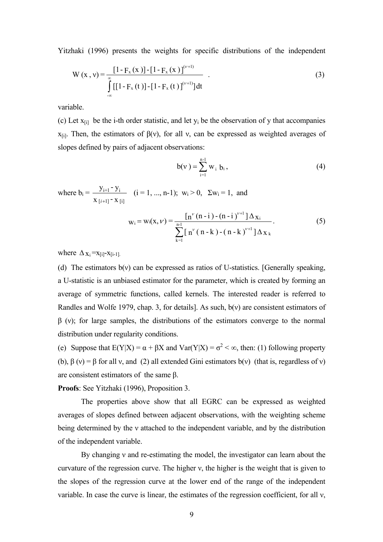Yitzhaki (1996) presents the weights for specific distributions of the independent

$$
W(x, v) = \frac{[1 - F_x(x)] - [1 - F_x(x)]^{(\nu+1)}}{\int_{-\infty}^{\infty} [[1 - F_x(t)] - [1 - F_x(t)]^{(\nu+1)}] dt} .
$$
 (3)

variable.

(c) Let  $x_{[i]}$  be the i-th order statistic, and let  $y_i$  be the observation of y that accompanies  $x_{[i]}$ . Then, the estimators of β(ν), for all ν, can be expressed as weighted averages of slopes defined by pairs of adjacent observations:

$$
b(v) = \sum_{i=1}^{n-1} w_i b_i,
$$
 (4)

where  $b_i =$  $X[i+1]$  – X  $y_{i+1} - y$  $[i+1]$   $\bar{X}[i]$  $i+1$   $\overline{\phantom{0}}$   $\overline{\phantom{0}}$   $\overline{\phantom{0}}$   $\overline{\phantom{0}}$   $\overline{\phantom{0}}$   $\overline{\phantom{0}}$   $\overline{\phantom{0}}$   $\overline{\phantom{0}}$   $\overline{\phantom{0}}$   $\overline{\phantom{0}}$   $\overline{\phantom{0}}$   $\overline{\phantom{0}}$   $\overline{\phantom{0}}$   $\overline{\phantom{0}}$   $\overline{\phantom{0}}$   $\overline{\phantom{0}}$   $\overline{\phantom{0}}$   $\overline{\phantom{0}}$ *i*+  $(i = 1, ..., n-1);$   $w_i > 0,$   $\sum w_i = 1,$  and

$$
w_{i} = w_{i}(x, \nu) = \frac{\left[n^{\nu} (n - i) - (n - i)^{\nu + 1}\right] \Delta_{X_{i}}}{\sum_{k=1}^{n-1} \left[n^{\nu} (n - k) - (n - k)^{\nu + 1}\right] \Delta_{X_{k}}}. \tag{5}
$$

where  $\Delta$ <sub>Xi</sub> = x<sub>[i]</sub>-x<sub>[i-1]</sub>.

(d) The estimators  $b(v)$  can be expressed as ratios of U-statistics. [Generally speaking, a U-statistic is an unbiased estimator for the parameter, which is created by forming an average of symmetric functions, called kernels. The interested reader is referred to Randles and Wolfe 1979, chap. 3, for details]. As such, b(ν) are consistent estimators of β (ν); for large samples, the distributions of the estimators converge to the normal distribution under regularity conditions.

(e) Suppose that  $E(Y|X) = \alpha + \beta X$  and  $Var(Y|X) = \sigma^2 < \infty$ , then: (1) following property (b),  $\beta$  (v) =  $\beta$  for all v, and (2) all extended Gini estimators b(v) (that is, regardless of v) are consistent estimators of the same β.

**Proofs**: See Yitzhaki (1996), Proposition 3.

 The properties above show that all EGRC can be expressed as weighted averages of slopes defined between adjacent observations, with the weighting scheme being determined by the ν attached to the independent variable, and by the distribution of the independent variable.

 By changing ν and re-estimating the model, the investigator can learn about the curvature of the regression curve. The higher ν, the higher is the weight that is given to the slopes of the regression curve at the lower end of the range of the independent variable. In case the curve is linear, the estimates of the regression coefficient, for all ν,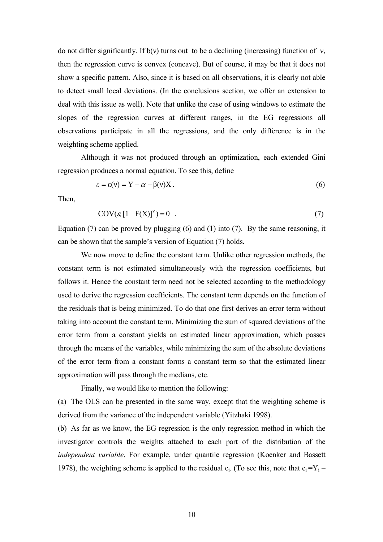do not differ significantly. If b(ν) turns out to be a declining (increasing) function of ν, then the regression curve is convex (concave). But of course, it may be that it does not show a specific pattern. Also, since it is based on all observations, it is clearly not able to detect small local deviations. (In the conclusions section, we offer an extension to deal with this issue as well). Note that unlike the case of using windows to estimate the slopes of the regression curves at different ranges, in the EG regressions all observations participate in all the regressions, and the only difference is in the weighting scheme applied.

 Although it was not produced through an optimization, each extended Gini regression produces a normal equation. To see this, define

$$
\varepsilon = \varepsilon(v) = Y - \alpha - \beta(v)X. \tag{6}
$$

Then,

$$
COV(\varepsilon[1 - F(X)]^{\nu}) = 0 \quad . \tag{7}
$$

Equation (7) can be proved by plugging (6) and (1) into (7). By the same reasoning, it can be shown that the sample's version of Equation (7) holds.

 We now move to define the constant term. Unlike other regression methods, the constant term is not estimated simultaneously with the regression coefficients, but follows it. Hence the constant term need not be selected according to the methodology used to derive the regression coefficients. The constant term depends on the function of the residuals that is being minimized. To do that one first derives an error term without taking into account the constant term. Minimizing the sum of squared deviations of the error term from a constant yields an estimated linear approximation, which passes through the means of the variables, while minimizing the sum of the absolute deviations of the error term from a constant forms a constant term so that the estimated linear approximation will pass through the medians, etc.

Finally, we would like to mention the following:

(a) The OLS can be presented in the same way, except that the weighting scheme is derived from the variance of the independent variable (Yitzhaki 1998).

(b) As far as we know, the EG regression is the only regression method in which the investigator controls the weights attached to each part of the distribution of the *independent variable*. For example, under quantile regression (Koenker and Bassett 1978), the weighting scheme is applied to the residual  $e_i$ . (To see this, note that  $e_i = Y_i$ .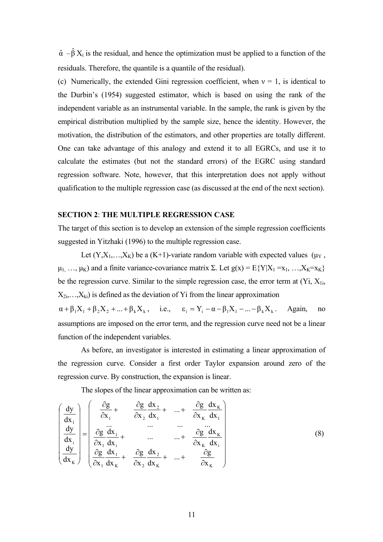$\hat{\alpha}$  – $\hat{\beta}$  X<sub>i</sub> is the residual, and hence the optimization must be applied to a function of the residuals. Therefore, the quantile is a quantile of the residual).

(c) Numerically, the extended Gini regression coefficient, when  $v = 1$ , is identical to the Durbin's (1954) suggested estimator, which is based on using the rank of the independent variable as an instrumental variable. In the sample, the rank is given by the empirical distribution multiplied by the sample size, hence the identity. However, the motivation, the distribution of the estimators, and other properties are totally different. One can take advantage of this analogy and extend it to all EGRCs, and use it to calculate the estimates (but not the standard errors) of the EGRC using standard regression software. Note, however, that this interpretation does not apply without qualification to the multiple regression case (as discussed at the end of the next section).

### **SECTION 2**: **THE MULTIPLE REGRESSION CASE**

The target of this section is to develop an extension of the simple regression coefficients suggested in Yitzhaki (1996) to the multiple regression case.

Let  $(Y, X_1, \ldots, X_K)$  be a  $(K+1)$ -variate random variable with expected values  $(\mu_Y, \mu_Y)$  $\mu_1, \ldots, \mu_K$ ) and a finite variance-covariance matrix Σ. Let  $g(x) = E\{Y|X_1 = x_1, \ldots, X_K = x_K\}$ be the regression curve. Similar to the simple regression case, the error term at  $(Yi, X_{1i}, Y_{2i})$  $X_{2i},...,X_{ki}$ ) is defined as the deviation of Yi from the linear approximation  $\alpha + \beta_1 X_1 + \beta_2 X_2 + ... + \beta_k X_k$ , i.e.,  $\epsilon_i = Y_i - \alpha - \beta_1 X_1 - ... - \beta_k X_k$ . Again, no assumptions are imposed on the error term, and the regression curve need not be a linear function of the independent variables.

 As before, an investigator is interested in estimating a linear approximation of the regression curve. Consider a first order Taylor expansion around zero of the regression curve. By construction, the expansion is linear.

The slopes of the linear approximation can be written as:

$$
\begin{pmatrix}\n\frac{dy}{dx_1} \\
\frac{dy}{dx_1} \\
\frac{dy}{dx_i} \\
\frac{dy}{dx_k}\n\end{pmatrix} = \begin{pmatrix}\n\frac{\partial g}{\partial x_1} + \frac{\partial g}{\partial x_2} \frac{dx_2}{dx_1} + \dots + \frac{\partial g}{\partial x_k} \frac{dx_k}{dx_1} \\
\vdots & \vdots & \ddots & \vdots \\
\frac{\partial g}{\partial x_1} \frac{dx_1}{dx_1} + \dots + \frac{\partial g}{\partial x_k} \frac{dx_k}{dx_i} \\
\frac{\partial g}{\partial x_1} \frac{dx_1}{dx_k} + \frac{\partial g}{\partial x_2} \frac{dx_2}{dx_k} + \dots + \frac{\partial g}{\partial x_k}\n\end{pmatrix}
$$
\n(8)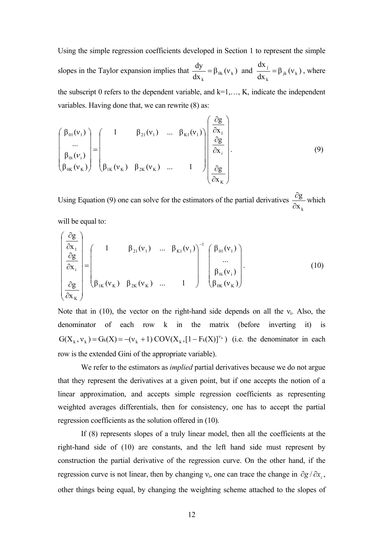Using the simple regression coefficients developed in Section 1 to represent the simple slopes in the Taylor expansion implies that  $\frac{dy}{dx_k} = \beta_{0k}(v_k)$  and  $\frac{dy}{dx_k} = \beta_{jk}(v_k)$ dx  $\beta_{0k}(v_k)$  and dx dy jk V <sup>v</sup> k k j 0k (  $^{\prime}$  k k  $= \beta_{0k}(v_k)$  and  $\frac{u_{k+1}}{v_k} = \beta_{ik}(v_k)$ , where the subscript 0 refers to the dependent variable, and  $k=1,\ldots, K$ , indicate the independent variables. Having done that, we can rewrite (8) as:

$$
\begin{pmatrix}\n\beta_{01}(v_1) \\
\vdots \\
\beta_{0i}(v_i) \\
\beta_{0K}(v_K)\n\end{pmatrix} = \begin{pmatrix}\n1 & \beta_{21}(v_1) & \dots & \beta_{K1}(v_1) \\
\vdots & \vdots & \ddots & \vdots \\
\beta_{1K}(v_K) & \beta_{2K}(v_K) & \dots & 1\n\end{pmatrix} \begin{pmatrix}\n\frac{\partial g}{\partial x_1} \\
\frac{\partial g}{\partial x_i} \\
\frac{\partial g}{\partial x_K}\n\end{pmatrix} .
$$
\n(9)

Using Equation (9) one can solve for the estimators of the partial derivatives  $\mathbf{x}_{k}$ g ∂  $\frac{\partial g}{\partial x}$  which

will be equal to:

$$
\begin{pmatrix}\n\frac{\partial g}{\partial x_1} \\
\frac{\partial g}{\partial x_i} \\
\frac{\partial g}{\partial x_k}\n\end{pmatrix} = \begin{pmatrix}\n1 & \beta_{21}(v_1) & \dots & \beta_{K1}(v_1) \\
\vdots & \vdots & \ddots & \vdots \\
\beta_{1K}(v_K) & \beta_{2K}(v_K) & \dots & 1\n\end{pmatrix}^{-1} \begin{pmatrix}\n\beta_{01}(v_1) \\
\vdots \\
\beta_{0i}(v_i) \\
\beta_{0K}(v_K)\n\end{pmatrix}.
$$
\n(10)

Note that in (10), the vector on the right-hand side depends on all the  $v_i$ . Also, the denominator of each row k in the matrix (before inverting it) is  $G(X_k, v_k) = G_k(X) = -(v_k + 1) COV(X_k, [1 - F_k(X)]^{v_k})$  (i.e. the denominator in each row is the extended Gini of the appropriate variable).

 We refer to the estimators as *implied* partial derivatives because we do not argue that they represent the derivatives at a given point, but if one accepts the notion of a linear approximation, and accepts simple regression coefficients as representing weighted averages differentials, then for consistency, one has to accept the partial regression coefficients as the solution offered in (10).

 If (8) represents slopes of a truly linear model, then all the coefficients at the right-hand side of (10) are constants, and the left hand side must represent by construction the partial derivative of the regression curve. On the other hand, if the regression curve is not linear, then by changing  $v_i$ , one can trace the change in  $\partial g / \partial x_i$ , other things being equal, by changing the weighting scheme attached to the slopes of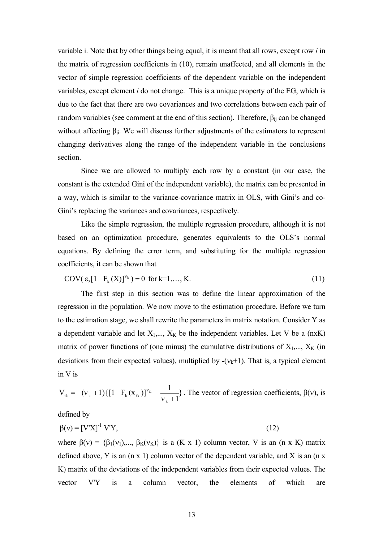variable i. Note that by other things being equal, it is meant that all rows, except row *i* in the matrix of regression coefficients in (10), remain unaffected, and all elements in the vector of simple regression coefficients of the dependent variable on the independent variables, except element *i* do not change. This is a unique property of the EG, which is due to the fact that there are two covariances and two correlations between each pair of random variables (see comment at the end of this section). Therefore,  $β<sub>ii</sub>$  can be changed without affecting  $\beta_{ii}$ . We will discuss further adjustments of the estimators to represent changing derivatives along the range of the independent variable in the conclusions section.

 Since we are allowed to multiply each row by a constant (in our case, the constant is the extended Gini of the independent variable), the matrix can be presented in a way, which is similar to the variance-covariance matrix in OLS, with Gini's and co-Gini's replacing the variances and covariances, respectively.

 Like the simple regression, the multiple regression procedure, although it is not based on an optimization procedure, generates equivalents to the OLS's normal equations. By defining the error term, and substituting for the multiple regression coefficients, it can be shown that

$$
COV(\epsilon, [1 - Fk(X)]vk) = 0 \text{ for } k=1,\ldots,K.
$$
\n(11)

 The first step in this section was to define the linear approximation of the regression in the population. We now move to the estimation procedure. Before we turn to the estimation stage, we shall rewrite the parameters in matrix notation. Consider Y as a dependent variable and let  $X_1, ..., X_K$  be the independent variables. Let V be a (nxK) matrix of power functions of (one minus) the cumulative distributions of  $X_1, ..., X_K$  (in deviations from their expected values), multiplied by  $-(v_k+1)$ . That is, a typical element in V is

$$
V_{ik} = -(v_k + 1)\{[1 - F_k(x_{ik})]^{v_k} - \frac{1}{v_k + 1}\}.
$$
 The vector of regression coefficients,  $\beta(v)$ , is

defined by

$$
\beta(v) = [V'X]^{-1} V'Y,
$$
\n(12)

where  $\beta(v) = {\beta_1(v_1),..., \beta_K(v_K)}$  is a (K x 1) column vector, V is an (n x K) matrix defined above, Y is an  $(n \times 1)$  column vector of the dependent variable, and X is an  $(n \times n)$ K) matrix of the deviations of the independent variables from their expected values. The vector V'Y is a column vector, the elements of which are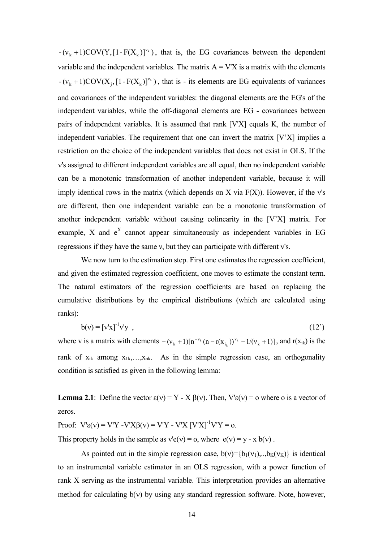$-(v_k + 1)COV(Y, [1 - F(X_k)]^{v_k})$ , that is, the EG covariances between the dependent variable and the independent variables. The matrix  $A = V'X$  is a matrix with the elements  $-(v_k + 1)COV(X_i, [1 - F(X_k)]^{v_k})$ , that is - its elements are EG equivalents of variances and covariances of the independent variables: the diagonal elements are the EG's of the independent variables, while the off-diagonal elements are EG - covariances between pairs of independent variables. It is assumed that rank [V'X] equals K, the number of independent variables. The requirement that one can invert the matrix [V'X] implies a restriction on the choice of the independent variables that does not exist in OLS. If the ν's assigned to different independent variables are all equal, then no independent variable can be a monotonic transformation of another independent variable, because it will imply identical rows in the matrix (which depends on  $X$  via  $F(X)$ ). However, if the v's are different, then one independent variable can be a monotonic transformation of another independent variable without causing colinearity in the [V'X] matrix. For example, X and  $e<sup>X</sup>$  cannot appear simultaneously as independent variables in EG regressions if they have the same ν, but they can participate with different ν's.

We now turn to the estimation step. First one estimates the regression coefficient, and given the estimated regression coefficient, one moves to estimate the constant term. The natural estimators of the regression coefficients are based on replacing the cumulative distributions by the empirical distributions (which are calculated using ranks):

$$
b(v) = [v'x]^{-1}v'y \tag{12'}
$$

where v is a matrix with elements  $-(v_k + 1)[n^{-v_k}(n - r(x_{i_k}))^{v_k} - 1/(v_k + 1)]$ , and  $r(x_{ik})$  is the rank of  $x_{ik}$  among  $x_{1k},...,x_{nk}$ . As in the simple regression case, an orthogonality condition is satisfied as given in the following lemma:

**Lemma 2.1**: Define the vector  $\varepsilon(v) = Y - X \beta(v)$ . Then,  $V' \varepsilon(v) = o$  where o is a vector of zeros.

Proof:  $V' \varepsilon(v) = V'Y - V'X\beta(v) = V'Y - V'X [V'X]^{-1}V'Y = 0.$ 

This property holds in the sample as  $v'e(v) = o$ , where  $e(v) = v - x b(v)$ .

As pointed out in the simple regression case,  $b(v)=\{b_1(v_1),...,b_K(v_K)\}\$ is identical to an instrumental variable estimator in an OLS regression, with a power function of rank X serving as the instrumental variable. This interpretation provides an alternative method for calculating  $b(v)$  by using any standard regression software. Note, however,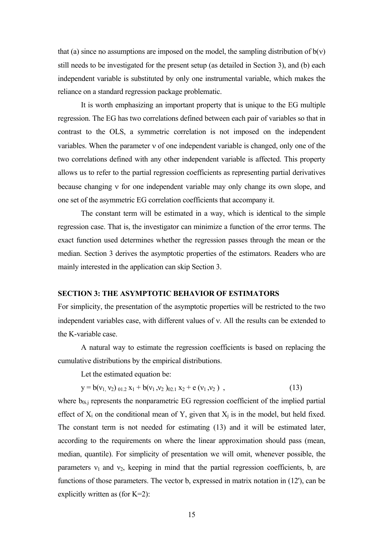that (a) since no assumptions are imposed on the model, the sampling distribution of  $b(v)$ still needs to be investigated for the present setup (as detailed in Section 3), and (b) each independent variable is substituted by only one instrumental variable, which makes the reliance on a standard regression package problematic.

 It is worth emphasizing an important property that is unique to the EG multiple regression. The EG has two correlations defined between each pair of variables so that in contrast to the OLS, a symmetric correlation is not imposed on the independent variables. When the parameter ν of one independent variable is changed, only one of the two correlations defined with any other independent variable is affected. This property allows us to refer to the partial regression coefficients as representing partial derivatives because changing *v* for one independent variable may only change its own slope, and one set of the asymmetric EG correlation coefficients that accompany it.

 The constant term will be estimated in a way, which is identical to the simple regression case. That is, the investigator can minimize a function of the error terms. The exact function used determines whether the regression passes through the mean or the median. Section 3 derives the asymptotic properties of the estimators. Readers who are mainly interested in the application can skip Section 3.

### **SECTION 3: THE ASYMPTOTIC BEHAVIOR OF ESTIMATORS**

For simplicity, the presentation of the asymptotic properties will be restricted to the two independent variables case, with different values of ν. All the results can be extended to the K-variable case.

 A natural way to estimate the regression coefficients is based on replacing the cumulative distributions by the empirical distributions.

Let the estimated equation be:

$$
y = b(v_1, v_2)_{01.2} x_1 + b(v_1, v_2)_{02.1} x_2 + e(v_1, v_2) , \qquad (13)
$$

where  $b_{0i}$  represents the nonparametric EG regression coefficient of the implied partial effect of  $X_i$  on the conditional mean of Y, given that  $X_i$  is in the model, but held fixed. The constant term is not needed for estimating (13) and it will be estimated later, according to the requirements on where the linear approximation should pass (mean, median, quantile). For simplicity of presentation we will omit, whenever possible, the parameters  $v_1$  and  $v_2$ , keeping in mind that the partial regression coefficients, b, are functions of those parameters. The vector b, expressed in matrix notation in (12'), can be explicitly written as (for  $K=2$ ):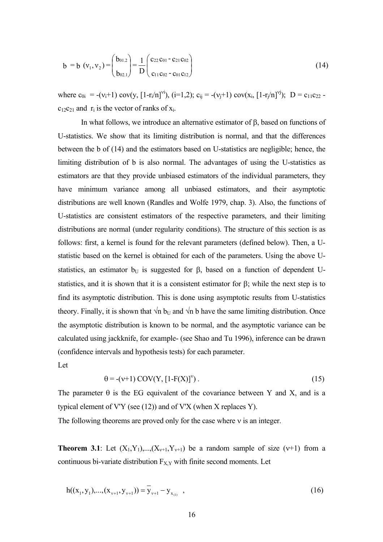$$
b = b (v1, v2) = \begin{pmatrix} b_{01.2} \\ b_{02.1} \end{pmatrix} = \frac{1}{D} \begin{pmatrix} c_{22} c_{01} - c_{21} c_{02} \\ c_{11} c_{02} - c_{01} c_{12} \end{pmatrix}
$$
 (14)

where  $c_{0i} = -(v_i+1) cov(y, [1-r_i/n]^{vi})$ ,  $(i=1,2)$ ;  $c_{ij} = -(v_j+1) cov(x_i, [1-r_j/n]^{vj})$ ;  $D = c_{11}c_{22}$ .  $c_{12}c_{21}$  and  $r_i$  is the vector of ranks of  $x_i$ .

 In what follows, we introduce an alternative estimator of β, based on functions of U-statistics. We show that its limiting distribution is normal, and that the differences between the b of (14) and the estimators based on U-statistics are negligible; hence, the limiting distribution of b is also normal. The advantages of using the U-statistics as estimators are that they provide unbiased estimators of the individual parameters, they have minimum variance among all unbiased estimators, and their asymptotic distributions are well known (Randles and Wolfe 1979, chap. 3). Also, the functions of U-statistics are consistent estimators of the respective parameters, and their limiting distributions are normal (under regularity conditions). The structure of this section is as follows: first, a kernel is found for the relevant parameters (defined below). Then, a Ustatistic based on the kernel is obtained for each of the parameters. Using the above Ustatistics, an estimator  $b_U$  is suggested for  $\beta$ , based on a function of dependent Ustatistics, and it is shown that it is a consistent estimator for  $\beta$ ; while the next step is to find its asymptotic distribution. This is done using asymptotic results from U-statistics theory. Finally, it is shown that  $\sqrt{n} b_U$  and  $\sqrt{n} b$  have the same limiting distribution. Once the asymptotic distribution is known to be normal, and the asymptotic variance can be calculated using jackknife, for example- (see Shao and Tu 1996), inference can be drawn (confidence intervals and hypothesis tests) for each parameter.

Let

$$
\theta = -(v+1) \text{COV}(Y, [1 - F(X)]^{\nu}). \tag{15}
$$

The parameter  $\theta$  is the EG equivalent of the covariance between Y and X, and is a typical element of V'Y (see (12)) and of V'X (when X replaces Y).

The following theorems are proved only for the case where v is an integer.

**Theorem 3.1**: Let  $(X_1, Y_1),..., (X_{v+1}, Y_{v+1})$  be a random sample of size  $(v+1)$  from a continuous bi-variate distribution  $F_{X,Y}$  with finite second moments. Let

$$
h((x_1, y_1), ..., (x_{v+1}, y_{v+1})) = y_{v+1} - y_{x_{(1)}}
$$
\n(16)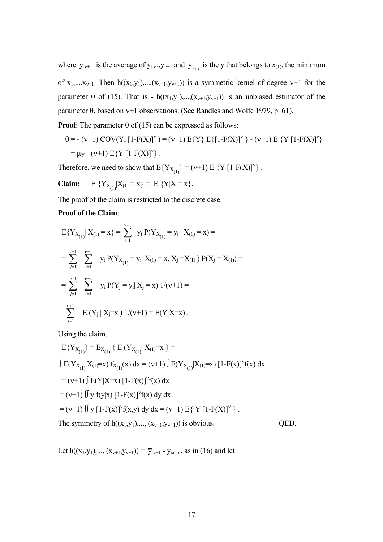where  $\overline{y}_{v+1}$  is the average of  $y_1,...,y_{v+1}$  and  $y_{x_{(1)}}$  is the y that belongs to  $x_{(1)}$ , the minimum of  $x_1,...,x_{v+1}$ . Then  $h((x_1,y_1),...,(x_{v+1},y_{v+1}))$  is a symmetric kernel of degree  $v+1$  for the parameter  $\theta$  of (15). That is - h((x<sub>1</sub>,y<sub>1</sub>),...,(x<sub>v+1</sub>,y<sub>v+1</sub>)) is an unbiased estimator of the parameter θ, based on ν+1 observations. (See Randles and Wolfe 1979, p. 61). **Proof**: The parameter θ of (15) can be expressed as follows:

$$
\theta = -(v+1) \text{ COV}(Y, [1 - F(X)]^v) = (v+1) E\{Y\} E\{[1 - F(X)]^v\} - (v+1) E\{Y [1 - F(X)]^v\} = \mu_Y - (v+1) E\{Y [1 - F(X)]^v\}.
$$

Therefore, we need to show that  $E{Y_{X_{(1)}}} = (v+1) E {Y [1-F(X)]}^v$ .

**Claim:** E { $Y_{X_{(1)}}|X_{(1)} = x$ } = E { $Y|X = x$ }.

The proof of the claim is restricted to the discrete case.

### **Proof of the Claim**:

$$
E{Y_{X_{(1)}}| X_{(1)} = x} = \sum_{i=1}^{\nu+1} y_i P(Y_{X_{(1)}} = y_i | X_{(1)} = x) =
$$
  
\n
$$
= \sum_{j=1}^{\nu+1} \sum_{i=1}^{\nu+1} y_i P(Y_{X_{(1)}} = y_i | X_{(1)} = x, X_j = X_{(1)}) P(X_j = X_{(1)}) =
$$
  
\n
$$
= \sum_{j=1}^{\nu+1} \sum_{i=1}^{\nu+1} y_i P(Y_j = y_i | X_j = x) 1/(v+1) =
$$
  
\n
$$
\sum_{j=1}^{\nu+1} E(Y_j | X_j = x) 1/(v+1) = E(Y|X=x).
$$

Using the claim,

$$
E{Y_{X_{(1)}}} = E_{X_{(1)}} {E(Y_{X_{(1)}}|X_{(1)}=x)} =
$$
  
\n
$$
\int E(Y_{X_{(1)}}|X_{(1)}=x) f_{X_{(1)}}(x) dx = (v+1) \int E(Y_{X_{(1)}}|X_{(1)}=x) [1-F(x)]^v f(x) dx
$$
  
\n
$$
= (v+1) \int E(Y|X=x) [1-F(x)]^v f(x) dx
$$
  
\n
$$
= (v+1) \iint y f(y|x) [1-F(x)]^v f(x) dy dx
$$
  
\n
$$
= (v+1) \iint y [1-F(x)]^v f(x,y) dy dx = (v+1) E{Y [1-F(X)]^v }.
$$
  
\nThe symmetry of h((x<sub>1</sub>,y<sub>1</sub>),..., (x<sub>v+1</sub>,y<sub>v+1</sub>)) is obvious. QED.

Let  $h((x_1,y_1),..., (x_{v+1},y_{v+1})) = \overline{y}_{v+1} - y_{x(1)}$ , as in (16) and let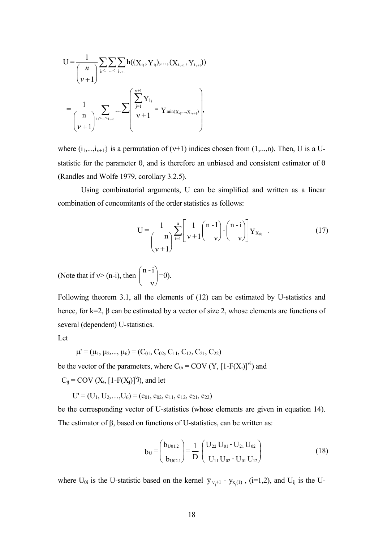$$
U = \frac{1}{\binom{n}{\nu+1}} \sum_{i_1 < ... < i_{\nu+1}} \sum_{i_2 < ... < i_{\nu+1}} h((X_{i_1}, Y_{i_1}), ..., (X_{i_{\nu+1}}, Y_{i_{\nu+1}}))
$$
\n
$$
= \frac{1}{\binom{n}{\nu+1}} \sum_{i_1 < ... < i_{\nu+1}} \sum_{i_2 < ... < i_{\nu+1}} \sum_{i_3 < ... < i_{\nu+1}} \frac{\left(\sum_{j=1}^{\nu+1} Y_{i_j} - Y_{\min(X_{i_1}, ..., X_{i_{\nu+1}})}\right)}{\nu+1} \sum_{i_3 < ... < i_{\nu+1}} \frac{\left(\sum_{j=1}^{\nu+1} Y_{i_j} - Y_{\min(X_{i_1}, ..., X_{i_{\nu+1}})}\right)}{\nu+1} \sum_{i_3 < ... < i_{\nu+1}} \frac{\left(\sum_{j=1}^{\nu+1} Y_{i_j} - Y_{\min(X_{i_1}, ..., X_{i_{\nu+1}})}\right)}{\nu+1} \sum_{i_3 < ... < i_{\nu+1}} \frac{\left(\sum_{j=1}^{\nu+1} Y_{i_j} - Y_{\min(X_{i_1}, ..., X_{i_{\nu+1}})}\right)}{\nu+1} \sum_{i_3 < ... < i_{\nu+1}} \frac{\left(\sum_{j=1}^{\nu+1} Y_{i_j} - Y_{\min(X_{i_1}, ..., X_{i_{\nu+1}})}\right)}{\nu+1} \sum_{i_3 < ... < i_{\nu+1}} \frac{\left(\sum_{j=1}^{\nu+1} Y_{i_j} - Y_{\min(X_{i_1}, ..., X_{i_{\nu+1}})}\right)}{\nu+1} \sum_{i_3 < ... < i_{\nu+1}} \frac{\left(\sum_{j=1}^{\nu+1} Y_{i_j} - Y_{\min(X_{i_1}, ..., X_{i_{\nu+1}})}\right)}{\nu+1} \sum_{i_3 < ... < i_{\nu+1}} \frac{\left(\sum_{j=1}^{\nu+1} Y_{i_j} - Y_{\min(X_{i_1}, ..., X_{i_{\nu+1}})}\right)}{\nu+1} \sum_{i_3 < ... < i_{\nu+1}} \frac{\left(\
$$

where  $(i_1,...,i_{v+1})$  is a permutation of  $(v+1)$  indices chosen from  $(1,...,n)$ . Then, U is a Ustatistic for the parameter  $\theta$ , and is therefore an unbiased and consistent estimator of  $\theta$ (Randles and Wolfe 1979, corollary 3.2.5).

 Using combinatorial arguments, U can be simplified and written as a linear combination of concomitants of the order statistics as follows:

$$
U = \frac{1}{\binom{n}{\nu+1}} \sum_{i=1}^{n} \left[ \frac{1}{\nu+1} \binom{n-1}{\nu} - \binom{n-i}{\nu} \right] Y_{X_{(i)}} \quad . \tag{17}
$$

(Note that if  $v > (n-i)$ , then  $\begin{bmatrix} n & 1 \\ 1 & 1 \end{bmatrix}$  $\binom{n-i}{v}$  $\setminus$ ſ ν n -i  $\begin{vmatrix} 1 & 1 \\ 0 & 1 \end{vmatrix} = 0$ .

Following theorem 3.1, all the elements of (12) can be estimated by U-statistics and hence, for k=2,  $\beta$  can be estimated by a vector of size 2, whose elements are functions of several (dependent) U-statistics.

Let

$$
\mu' = (\mu_1, \mu_2, ..., \mu_6) = (C_{01}, C_{02}, C_{11}, C_{12}, C_{21}, C_{22})
$$

be the vector of the parameters, where  $C_{0i} = \text{COV (Y, [1-F(X_i)]}^{vi})$  and

 $C_{ij}$  = COV (X<sub>i</sub>, [1-F(X<sub>j</sub>)]<sup>v</sup>j), and let

$$
U' = (U_1, U_2, \ldots, U_6) = (c_{01}, c_{02}, c_{11}, c_{12}, c_{21}, c_{22})
$$

be the corresponding vector of U-statistics (whose elements are given in equation 14). The estimator of  $\beta$ , based on functions of U-statistics, can be written as:

$$
b_{U} = \begin{pmatrix} b_{U01.2} \\ b_{U02.1} \end{pmatrix} = \frac{1}{D} \begin{pmatrix} U_{22} U_{01} - U_{21} U_{02} \\ U_{11} U_{02} - U_{01} U_{12} \end{pmatrix}
$$
(18)

where U<sub>0i</sub> is the U-statistic based on the kernel  $\bar{y}_{v_i+1}$  -  $y_{x_i(1)}$ , (i=1,2), and U<sub>ij</sub> is the U-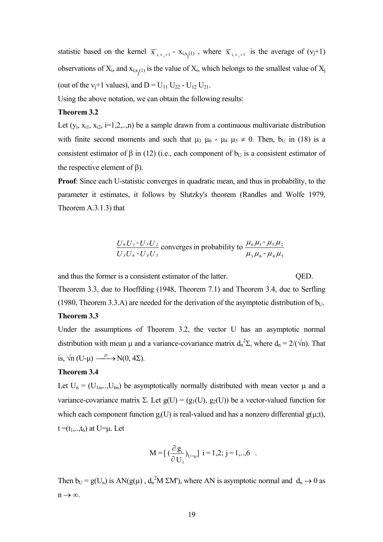statistic based on the kernel  $\overline{x}_{i, v_j+1}$  -  $x_{i, x_j(1)}$ , where  $\overline{x}_{i, v_j+1}$  is the average of  $(v_j+1)$ observations of  $X_i$ , and  $x_{i,x_j(1)}$  is the value of  $X_i$ , which belongs to the smallest value of  $X_j$ (out of the  $v_1+1$  values), and  $D = U_{11} U_{22} - U_{12} U_{21}$ .

Using the above notation, we can obtain the following results:

### **Theorem 3.2**

Let  $(y_i, x_{i1}, x_{i2}, i=1,2,...,n)$  be a sample drawn from a continuous multivariate distribution with finite second moments and such that  $\mu_3$   $\mu_6$  -  $\mu_4$   $\mu_5 \neq 0$ . Then,  $b_U$  in (18) is a consistent estimator of  $\beta$  in (12) (i.e., each component of  $b_U$  is a consistent estimator of the respective element of β).

**Proof**: Since each U-statistic converges in quadratic mean, and thus in probability, to the parameter it estimates, it follows by Slutzky's theorem (Randles and Wolfe 1979, Theorem A.3.1.3) that

$$
\frac{U_{6}U_{1}-U_{5}U_{2}}{U_{3}U_{6}-U_{4}U_{5}}
$$
 converges in probability to 
$$
\frac{\mu_{6}\mu_{1}-\mu_{5}\mu_{2}}{\mu_{3}\mu_{6}-\mu_{4}\mu_{5}}
$$

and thus the former is a consistent estimator of the latter.  $OED$ .

Theorem 3.3, due to Hoeffding (1948, Theorem 7.1) and Theorem 3.4, due to Serfling (1980, Theorem 3.3.A) are needed for the derivation of the asymptotic distribution of  $b_U$ . **Theorem 3.3**

Under the assumptions of Theorem 3.2, the vector U has an asymptotic normal distribution with mean  $\mu$  and a variance-covariance matrix  $d_n^2 \Sigma$ , where  $d_n = 2/(\sqrt{n})$ . That is,  $\sqrt{n}$  (U-µ)  $\frac{D}{\longrightarrow}N(0, 4\Sigma)$ .

### **Theorem 3.4**

Let  $U_n = (U_{1n},...,U_{6n})$  be asymptotically normally distributed with mean vector  $\mu$  and a variance-covariance matrix Σ. Let  $g(U) = (g_1(U), g_2(U))$  be a vector-valued function for which each component function  $g_i(U)$  is real-valued and has a nonzero differential  $g(\mu;t)$ ,  $t = (t_1,...,t_6)$  at U= $\mu$ . Let

$$
M = [(\frac{\partial g_i}{\partial U_j})_{U=\mu}] i = 1,2; j = 1,..,6.
$$

Then  $b_U = g(U_n)$  is  $AN(g(\mu), d_n^2 M \Sigma M')$ , where AN is asymptotic normal and  $d_n \to 0$  as  $n \rightarrow \infty$ .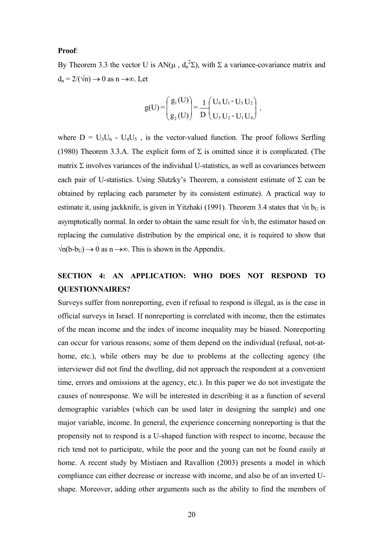#### **Proof**:

By Theorem 3.3 the vector U is AN(μ,  $d<sub>n</sub><sup>2</sup>Σ$ ), with Σ a variance-covariance matrix and  $d_n = 2/(\sqrt{n}) \rightarrow 0$  as  $n \rightarrow \infty$ . Let

$$
g(U) = \begin{pmatrix} g_1(U) \\ g_2(U) \end{pmatrix} = \frac{1}{D} \begin{pmatrix} U_6 U_1 - U_5 U_2 \\ U_3 U_2 - U_1 U_4 \end{pmatrix},
$$

where  $D = U_3U_6$  -  $U_4U_5$ , is the vector-valued function. The proof follows Serfling (1980) Theorem 3.3.A. The explicit form of  $\Sigma$  is omitted since it is complicated. (The matrix  $\Sigma$  involves variances of the individual U-statistics, as well as covariances between each pair of U-statistics. Using Slutzky's Theorem, a consistent estimate of  $\Sigma$  can be obtained by replacing each parameter by its consistent estimate). A practical way to estimate it, using jackknife, is given in Yitzhaki (1991). Theorem 3.4 states that  $\sqrt{n} b_{\text{U}}$  is asymptotically normal. In order to obtain the same result for  $\sqrt{n}$  b, the estimator based on replacing the cumulative distribution by the empirical one, it is required to show that  $\sqrt{n(b-b_U)} \rightarrow 0$  as n →∞. This is shown in the Appendix.

# **SECTION 4: AN APPLICATION: WHO DOES NOT RESPOND TO QUESTIONNAIRES?**

Surveys suffer from nonreporting, even if refusal to respond is illegal, as is the case in official surveys in Israel. If nonreporting is correlated with income, then the estimates of the mean income and the index of income inequality may be biased. Nonreporting can occur for various reasons; some of them depend on the individual (refusal, not-athome, etc.), while others may be due to problems at the collecting agency (the interviewer did not find the dwelling, did not approach the respondent at a convenient time, errors and omissions at the agency, etc.). In this paper we do not investigate the causes of nonresponse. We will be interested in describing it as a function of several demographic variables (which can be used later in designing the sample) and one major variable, income. In general, the experience concerning nonreporting is that the propensity not to respond is a U-shaped function with respect to income, because the rich tend not to participate, while the poor and the young can not be found easily at home. A recent study by Mistiaen and Ravallion (2003) presents a model in which compliance can either decrease or increase with income, and also be of an inverted Ushape. Moreover, adding other arguments such as the ability to find the members of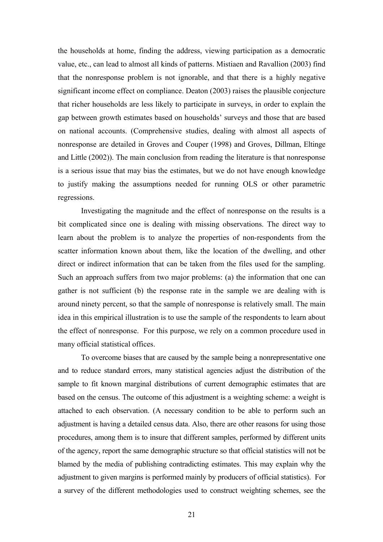the households at home, finding the address, viewing participation as a democratic value, etc., can lead to almost all kinds of patterns. Mistiaen and Ravallion (2003) find that the nonresponse problem is not ignorable, and that there is a highly negative significant income effect on compliance. Deaton (2003) raises the plausible conjecture that richer households are less likely to participate in surveys, in order to explain the gap between growth estimates based on households' surveys and those that are based on national accounts. (Comprehensive studies, dealing with almost all aspects of nonresponse are detailed in Groves and Couper (1998) and Groves, Dillman, Eltinge and Little (2002)). The main conclusion from reading the literature is that nonresponse is a serious issue that may bias the estimates, but we do not have enough knowledge to justify making the assumptions needed for running OLS or other parametric regressions.

 Investigating the magnitude and the effect of nonresponse on the results is a bit complicated since one is dealing with missing observations. The direct way to learn about the problem is to analyze the properties of non-respondents from the scatter information known about them, like the location of the dwelling, and other direct or indirect information that can be taken from the files used for the sampling. Such an approach suffers from two major problems: (a) the information that one can gather is not sufficient (b) the response rate in the sample we are dealing with is around ninety percent, so that the sample of nonresponse is relatively small. The main idea in this empirical illustration is to use the sample of the respondents to learn about the effect of nonresponse. For this purpose, we rely on a common procedure used in many official statistical offices.

 To overcome biases that are caused by the sample being a nonrepresentative one and to reduce standard errors, many statistical agencies adjust the distribution of the sample to fit known marginal distributions of current demographic estimates that are based on the census. The outcome of this adjustment is a weighting scheme: a weight is attached to each observation. (A necessary condition to be able to perform such an adjustment is having a detailed census data. Also, there are other reasons for using those procedures, among them is to insure that different samples, performed by different units of the agency, report the same demographic structure so that official statistics will not be blamed by the media of publishing contradicting estimates. This may explain why the adjustment to given margins is performed mainly by producers of official statistics). For a survey of the different methodologies used to construct weighting schemes, see the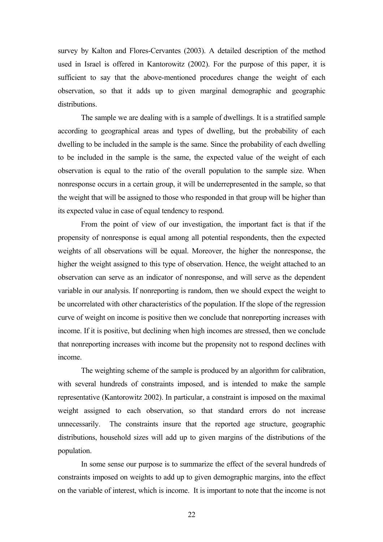survey by Kalton and Flores-Cervantes (2003). A detailed description of the method used in Israel is offered in Kantorowitz (2002). For the purpose of this paper, it is sufficient to say that the above-mentioned procedures change the weight of each observation, so that it adds up to given marginal demographic and geographic distributions.

The sample we are dealing with is a sample of dwellings. It is a stratified sample according to geographical areas and types of dwelling, but the probability of each dwelling to be included in the sample is the same. Since the probability of each dwelling to be included in the sample is the same, the expected value of the weight of each observation is equal to the ratio of the overall population to the sample size. When nonresponse occurs in a certain group, it will be underrepresented in the sample, so that the weight that will be assigned to those who responded in that group will be higher than its expected value in case of equal tendency to respond.

From the point of view of our investigation, the important fact is that if the propensity of nonresponse is equal among all potential respondents, then the expected weights of all observations will be equal. Moreover, the higher the nonresponse, the higher the weight assigned to this type of observation. Hence, the weight attached to an observation can serve as an indicator of nonresponse, and will serve as the dependent variable in our analysis. If nonreporting is random, then we should expect the weight to be uncorrelated with other characteristics of the population. If the slope of the regression curve of weight on income is positive then we conclude that nonreporting increases with income. If it is positive, but declining when high incomes are stressed, then we conclude that nonreporting increases with income but the propensity not to respond declines with income.

The weighting scheme of the sample is produced by an algorithm for calibration, with several hundreds of constraints imposed, and is intended to make the sample representative (Kantorowitz 2002). In particular, a constraint is imposed on the maximal weight assigned to each observation, so that standard errors do not increase unnecessarily. The constraints insure that the reported age structure, geographic distributions, household sizes will add up to given margins of the distributions of the population.

In some sense our purpose is to summarize the effect of the several hundreds of constraints imposed on weights to add up to given demographic margins, into the effect on the variable of interest, which is income. It is important to note that the income is not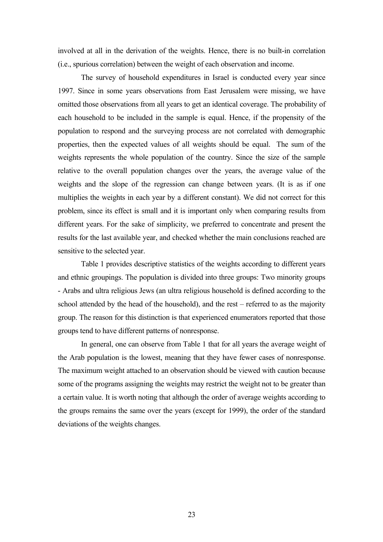involved at all in the derivation of the weights. Hence, there is no built-in correlation (i.e., spurious correlation) between the weight of each observation and income.

 The survey of household expenditures in Israel is conducted every year since 1997. Since in some years observations from East Jerusalem were missing, we have omitted those observations from all years to get an identical coverage. The probability of each household to be included in the sample is equal. Hence, if the propensity of the population to respond and the surveying process are not correlated with demographic properties, then the expected values of all weights should be equal. The sum of the weights represents the whole population of the country. Since the size of the sample relative to the overall population changes over the years, the average value of the weights and the slope of the regression can change between years. (It is as if one multiplies the weights in each year by a different constant). We did not correct for this problem, since its effect is small and it is important only when comparing results from different years. For the sake of simplicity, we preferred to concentrate and present the results for the last available year, and checked whether the main conclusions reached are sensitive to the selected year.

Table 1 provides descriptive statistics of the weights according to different years and ethnic groupings. The population is divided into three groups: Two minority groups - Arabs and ultra religious Jews (an ultra religious household is defined according to the school attended by the head of the household), and the rest – referred to as the majority group. The reason for this distinction is that experienced enumerators reported that those groups tend to have different patterns of nonresponse.

 In general, one can observe from Table 1 that for all years the average weight of the Arab population is the lowest, meaning that they have fewer cases of nonresponse. The maximum weight attached to an observation should be viewed with caution because some of the programs assigning the weights may restrict the weight not to be greater than a certain value. It is worth noting that although the order of average weights according to the groups remains the same over the years (except for 1999), the order of the standard deviations of the weights changes.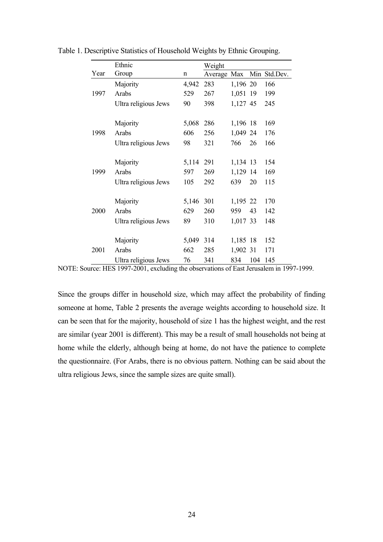|      | Ethnic               |       | Weight      |          |     |              |
|------|----------------------|-------|-------------|----------|-----|--------------|
| Year | Group                | n     | Average Max |          |     | Min Std.Dev. |
|      | Majority             | 4,942 | 283         | 1,196 20 |     | 166          |
| 1997 | Arabs                | 529   | 267         | 1,051 19 |     | 199          |
|      | Ultra religious Jews | 90    | 398         | 1,127 45 |     | 245          |
|      | Majority             | 5,068 | 286         | 1,196 18 |     | 169          |
| 1998 | Arabs                | 606   | 256         | 1,049 24 |     | 176          |
|      | Ultra religious Jews | 98    | 321         | 766      | 26  | 166          |
|      | Majority             | 5,114 | 291         | 1,134 13 |     | 154          |
| 1999 | Arabs                | 597   | 269         | 1,129 14 |     | 169          |
|      | Ultra religious Jews | 105   | 292         | 639      | 20  | 115          |
|      | Majority             | 5,146 | 301         | 1,195 22 |     | 170          |
| 2000 | Arabs                | 629   | 260         | 959      | 43  | 142          |
|      | Ultra religious Jews | 89    | 310         | 1,017 33 |     | 148          |
|      | Majority             | 5,049 | 314         | 1,185 18 |     | 152          |
| 2001 | Arabs                | 662   | 285         | 1,902 31 |     | 171          |
|      | Ultra religious Jews | 76    | 341         | 834      | 104 | 145          |

Table 1. Descriptive Statistics of Household Weights by Ethnic Grouping.

Since the groups differ in household size, which may affect the probability of finding someone at home, Table 2 presents the average weights according to household size. It can be seen that for the majority, household of size 1 has the highest weight, and the rest are similar (year 2001 is different). This may be a result of small households not being at home while the elderly, although being at home, do not have the patience to complete the questionnaire. (For Arabs, there is no obvious pattern. Nothing can be said about the ultra religious Jews, since the sample sizes are quite small).

NOTE: Source: HES 1997-2001, excluding the observations of East Jerusalem in 1997-1999.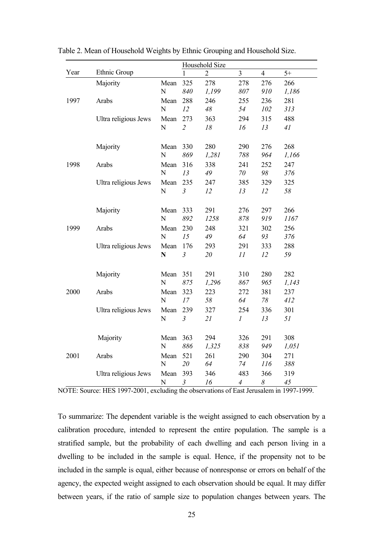|      |                      |      |                | Household Size |                  |                |       |
|------|----------------------|------|----------------|----------------|------------------|----------------|-------|
| Year | Ethnic Group         |      | 1              | $\overline{2}$ | $\overline{3}$   | $\overline{4}$ | $5+$  |
|      | Majority             | Mean | 325            | 278            | 278              | 276            | 266   |
|      |                      | N    | 840            | 1,199          | $807\,$          | 910            | 1,186 |
| 1997 | Arabs                | Mean | 288            | 246            | 255              | 236            | 281   |
|      |                      | N    | 12             | 48             | 54               | 102            | 313   |
|      | Ultra religious Jews | Mean | 273            | 363            | 294              | 315            | 488   |
|      |                      | N    | $\overline{2}$ | $18\,$         | 16               | 13             | 41    |
|      | Majority             | Mean | 330            | 280            | 290              | 276            | 268   |
|      |                      | N    | 869            | 1,281          | 788              | 964            | 1,166 |
| 1998 | Arabs                | Mean | 316            | 338            | 241              | 252            | 247   |
|      |                      | N    | 13             | 49             | $70\,$           | 98             | 376   |
|      | Ultra religious Jews | Mean | 235            | 247            | 385              | 329            | 325   |
|      |                      | N    | $\mathfrak{Z}$ | 12             | 13               | 12             | 58    |
|      | Majority             | Mean | 333            | 291            | 276              | 297            | 266   |
|      |                      | N    | 892            | 1258           | 878              | 919            | 1167  |
| 1999 | Arabs                | Mean | 230            | 248            | 321              | 302            | 256   |
|      |                      | N    | 15             | 49             | 64               | 93             | 376   |
|      | Ultra religious Jews | Mean | 176            | 293            | 291              | 333            | 288   |
|      |                      | N    | $\mathfrak{Z}$ | 20             | II               | 12             | 59    |
|      | Majority             | Mean | 351            | 291            | 310              | 280            | 282   |
|      |                      | N    | 875            | 1,296          | 867              | 965            | 1,143 |
| 2000 | Arabs                | Mean | 323            | 223            | 272              | 381            | 237   |
|      |                      | N    | 17             | $58\,$         | 64               | $78\,$         | 412   |
|      | Ultra religious Jews | Mean | 239            | 327            | 254              | 336            | 301   |
|      |                      | N    | $\mathfrak{Z}$ | 21             | $\boldsymbol{l}$ | 13             | 51    |
|      | Majority             | Mean | 363            | 294            | 326              | 291            | 308   |
|      |                      | N    | 886            | 1,325          | 838              | 949            | 1,051 |
| 2001 | Arabs                | Mean | 521            | 261            | 290              | 304            | 271   |
|      |                      | N    | 20             | 64             | $74\,$           | 116            | 388   |
|      | Ultra religious Jews | Mean | 393            | 346            | 483              | 366            | 319   |
|      |                      | N    | $\mathfrak{Z}$ | 16             | $\overline{4}$   | $\delta$       | 45    |

Table 2. Mean of Household Weights by Ethnic Grouping and Household Size.

NOTE: Source: HES 1997-2001, excluding the observations of East Jerusalem in 1997-1999.

To summarize: The dependent variable is the weight assigned to each observation by a calibration procedure, intended to represent the entire population. The sample is a stratified sample, but the probability of each dwelling and each person living in a dwelling to be included in the sample is equal. Hence, if the propensity not to be included in the sample is equal, either because of nonresponse or errors on behalf of the agency, the expected weight assigned to each observation should be equal. It may differ between years, if the ratio of sample size to population changes between years. The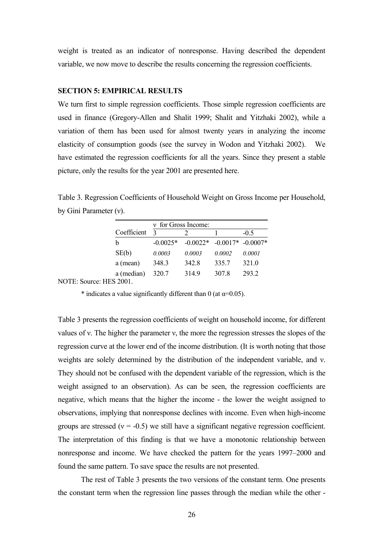weight is treated as an indicator of nonresponse. Having described the dependent variable, we now move to describe the results concerning the regression coefficients.

### **SECTION 5: EMPIRICAL RESULTS**

We turn first to simple regression coefficients. Those simple regression coefficients are used in finance (Gregory-Allen and Shalit 1999; Shalit and Yitzhaki 2002), while a variation of them has been used for almost twenty years in analyzing the income elasticity of consumption goods (see the survey in Wodon and Yitzhaki 2002). We have estimated the regression coefficients for all the years. Since they present a stable picture, only the results for the year 2001 are presented here.

Table 3. Regression Coefficients of Household Weight on Gross Income per Household, by Gini Parameter (ν).

|                                  | v for Gross Income: |        |                                  |        |  |  |  |
|----------------------------------|---------------------|--------|----------------------------------|--------|--|--|--|
| Coefficient                      | $\mathbf 3$         |        |                                  | $-0.5$ |  |  |  |
| b                                | $-0.0025*$          |        | $-0.0022*$ $-0.0017*$ $-0.0007*$ |        |  |  |  |
| SE(b)                            | 0.0003              | 0.0003 | 0.0002                           | 0.0001 |  |  |  |
| a (mean)                         | 348.3               | 342.8  | 335.7                            | 321.0  |  |  |  |
| a (median)<br>$\mathcal{L}$ 2001 | 320.7               | 314.9  | 307.8                            | 293.2  |  |  |  |

NOTE: Source: HES 2001.

\* indicates a value significantly different than 0 (at  $\alpha$ =0.05).

Table 3 presents the regression coefficients of weight on household income, for different values of ν. The higher the parameter ν, the more the regression stresses the slopes of the regression curve at the lower end of the income distribution. (It is worth noting that those weights are solely determined by the distribution of the independent variable, and ν. They should not be confused with the dependent variable of the regression, which is the weight assigned to an observation). As can be seen, the regression coefficients are negative, which means that the higher the income - the lower the weight assigned to observations, implying that nonresponse declines with income. Even when high-income groups are stressed ( $y = -0.5$ ) we still have a significant negative regression coefficient. The interpretation of this finding is that we have a monotonic relationship between nonresponse and income. We have checked the pattern for the years 1997–2000 and found the same pattern. To save space the results are not presented.

 The rest of Table 3 presents the two versions of the constant term. One presents the constant term when the regression line passes through the median while the other -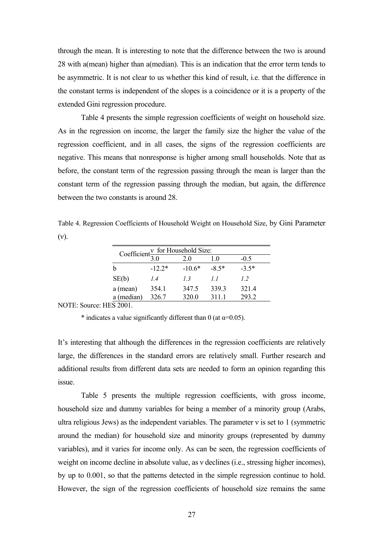through the mean. It is interesting to note that the difference between the two is around 28 with a(mean) higher than a(median). This is an indication that the error term tends to be asymmetric. It is not clear to us whether this kind of result, i.e. that the difference in the constant terms is independent of the slopes is a coincidence or it is a property of the extended Gini regression procedure.

 Table 4 presents the simple regression coefficients of weight on household size. As in the regression on income, the larger the family size the higher the value of the regression coefficient, and in all cases, the signs of the regression coefficients are negative. This means that nonresponse is higher among small households. Note that as before, the constant term of the regression passing through the mean is larger than the constant term of the regression passing through the median, but again, the difference between the two constants is around 28.

Table 4. Regression Coefficients of Household Weight on Household Size, by Gini Parameter (ν).

| Coefficient $\frac{v}{3.0}$ for Household Size: |          |          |         |         |  |  |  |  |
|-------------------------------------------------|----------|----------|---------|---------|--|--|--|--|
|                                                 |          |          | 10      | $-0.5$  |  |  |  |  |
|                                                 | $-12.2*$ | $-10.6*$ | $-8.5*$ | $-3.5*$ |  |  |  |  |
| SE(b)                                           | 1.4      | 13       | 77      | 1.2     |  |  |  |  |
| a (mean)                                        | 354.1    | 347.5    | 339.3   | 321.4   |  |  |  |  |
| a (median)                                      | 3267     | 320.0    | 3111    | 293 2   |  |  |  |  |

NOTE: Source: HES 2001.

\* indicates a value significantly different than 0 (at  $\alpha$ =0.05).

It's interesting that although the differences in the regression coefficients are relatively large, the differences in the standard errors are relatively small. Further research and additional results from different data sets are needed to form an opinion regarding this issue.

Table 5 presents the multiple regression coefficients, with gross income, household size and dummy variables for being a member of a minority group (Arabs, ultra religious Jews) as the independent variables. The parameter ν is set to 1 (symmetric around the median) for household size and minority groups (represented by dummy variables), and it varies for income only. As can be seen, the regression coefficients of weight on income decline in absolute value, as *v* declines (i.e., stressing higher incomes), by up to 0.001, so that the patterns detected in the simple regression continue to hold. However, the sign of the regression coefficients of household size remains the same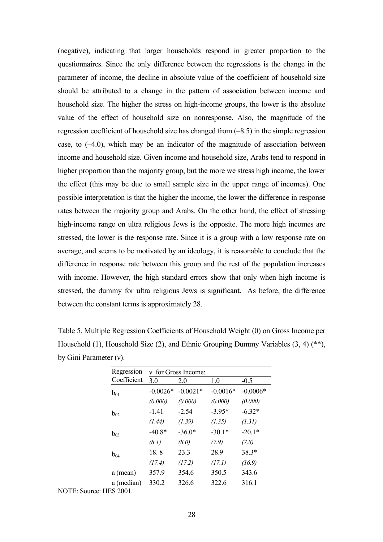(negative), indicating that larger households respond in greater proportion to the questionnaires. Since the only difference between the regressions is the change in the parameter of income, the decline in absolute value of the coefficient of household size should be attributed to a change in the pattern of association between income and household size. The higher the stress on high-income groups, the lower is the absolute value of the effect of household size on nonresponse. Also, the magnitude of the regression coefficient of household size has changed from (–8.5) in the simple regression case, to  $(-4.0)$ , which may be an indicator of the magnitude of association between income and household size. Given income and household size, Arabs tend to respond in higher proportion than the majority group, but the more we stress high income, the lower the effect (this may be due to small sample size in the upper range of incomes). One possible interpretation is that the higher the income, the lower the difference in response rates between the majority group and Arabs. On the other hand, the effect of stressing high-income range on ultra religious Jews is the opposite. The more high incomes are stressed, the lower is the response rate. Since it is a group with a low response rate on average, and seems to be motivated by an ideology, it is reasonable to conclude that the difference in response rate between this group and the rest of the population increases with income. However, the high standard errors show that only when high income is stressed, the dummy for ultra religious Jews is significant. As before, the difference between the constant terms is approximately 28.

| Regression  | v for Gross Income: |            |            |            |  |  |  |
|-------------|---------------------|------------|------------|------------|--|--|--|
| Coefficient | 3.0                 | 2.0        | 1.0        | $-0.5$     |  |  |  |
| $b_{01}$    | $-0.0026*$          | $-0.0021*$ | $-0.0016*$ | $-0.0006*$ |  |  |  |
|             | (0.000)             | (0.000)    | (0.000)    | (0.000)    |  |  |  |
| $b_{02}$    | $-1.41$             | $-2.54$    | $-3.95*$   | $-6.32*$   |  |  |  |
|             | (1.44)              | (1.39)     | (1.35)     | (1.31)     |  |  |  |
| $b_{03}$    | $-40.8*$            | $-36.0*$   | $-30.1*$   | $-20.1*$   |  |  |  |
|             | (8.1)               | (8.0)      | (7.9)      | (7.8)      |  |  |  |
| $b_{04}$    | 18.8                | 23.3       | 28.9       | 38.3*      |  |  |  |
|             | (17.4)              | (17.2)     | (17.1)     | (16.9)     |  |  |  |
| a (mean)    | 357.9               | 354.6      | 350.5      | 343.6      |  |  |  |
| a (median)  | 330.2               | 326.6      | 322.6      | 316.1      |  |  |  |

Table 5. Multiple Regression Coefficients of Household Weight (0) on Gross Income per Household (1), Household Size (2), and Ethnic Grouping Dummy Variables (3, 4) (\*\*), by Gini Parameter (ν).

NOTE: Source: HES 2001.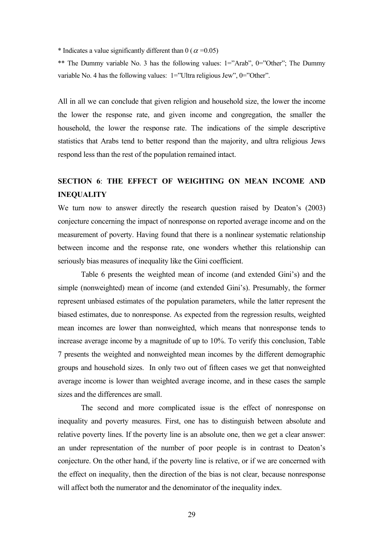\* Indicates a value significantly different than 0 ( $\alpha$  =0.05)

\*\* The Dummy variable No. 3 has the following values: 1="Arab", 0="Other"; The Dummy variable No. 4 has the following values: 1="Ultra religious Jew", 0="Other".

All in all we can conclude that given religion and household size, the lower the income the lower the response rate, and given income and congregation, the smaller the household, the lower the response rate. The indications of the simple descriptive statistics that Arabs tend to better respond than the majority, and ultra religious Jews respond less than the rest of the population remained intact.

# **SECTION 6**: **THE EFFECT OF WEIGHTING ON MEAN INCOME AND INEQUALITY**

We turn now to answer directly the research question raised by Deaton's (2003) conjecture concerning the impact of nonresponse on reported average income and on the measurement of poverty. Having found that there is a nonlinear systematic relationship between income and the response rate, one wonders whether this relationship can seriously bias measures of inequality like the Gini coefficient.

Table 6 presents the weighted mean of income (and extended Gini's) and the simple (nonweighted) mean of income (and extended Gini's). Presumably, the former represent unbiased estimates of the population parameters, while the latter represent the biased estimates, due to nonresponse. As expected from the regression results, weighted mean incomes are lower than nonweighted, which means that nonresponse tends to increase average income by a magnitude of up to 10%. To verify this conclusion, Table 7 presents the weighted and nonweighted mean incomes by the different demographic groups and household sizes. In only two out of fifteen cases we get that nonweighted average income is lower than weighted average income, and in these cases the sample sizes and the differences are small.

 The second and more complicated issue is the effect of nonresponse on inequality and poverty measures. First, one has to distinguish between absolute and relative poverty lines. If the poverty line is an absolute one, then we get a clear answer: an under representation of the number of poor people is in contrast to Deaton's conjecture. On the other hand, if the poverty line is relative, or if we are concerned with the effect on inequality, then the direction of the bias is not clear, because nonresponse will affect both the numerator and the denominator of the inequality index.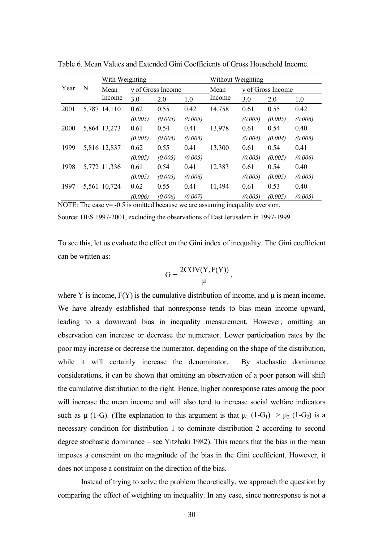|      |   | With Weighting |                   |         | Without Weighting |                   |         |         |         |
|------|---|----------------|-------------------|---------|-------------------|-------------------|---------|---------|---------|
| Year | N | Mean           | v of Gross Income |         | Mean              | v of Gross Income |         |         |         |
|      |   | Income         | 3.0               | 2.0     | 1.0               | Income            | 3.0     | 2.0     | 1.0     |
| 2001 |   | 5,787 14,110   | 0.62              | 0.55    | 0.42              | 14,758            | 0.61    | 0.55    | 0.42    |
|      |   |                | (0.005)           | (0.005) | (0.005)           |                   | (0.005) | (0.005) | (0.006) |
| 2000 |   | 5,864 13,273   | 0.61              | 0.54    | 0.41              | 13,978            | 0.61    | 0.54    | 0.40    |
|      |   |                | (0.005)           | (0.005) | (0.005)           |                   | (0.004) | (0.004) | (0.005) |
| 1999 |   | 5,816 12,837   | 0.62              | 0.55    | 0.41              | 13,300            | 0.61    | 0.54    | 0.41    |
|      |   |                | (0.005)           | (0.005) | (0.005)           |                   | (0.005) | (0.005) | (0.006) |
| 1998 |   | 5,772 11,336   | 0.61              | 0.54    | 0.41              | 12,383            | 0.61    | 0.54    | 0.40    |
|      |   |                | (0.005)           | (0.005) | (0.006)           |                   | (0.005) | (0.005) | (0.005) |
| 1997 |   | 5,561 10,724   | 0.62              | 0.55    | 0.41              | 11,494            | 0.61    | 0.53    | 0.40    |
|      |   |                | (0.006)           | (0.006) | (0.007)           |                   | (0.005) | (0.005) | (0.005) |

Table 6. Mean Values and Extended Gini Coefficients of Gross Household Income.

NOTE: The case  $v = -0.5$  is omitted because we are assuming inequality aversion.

Source: HES 1997-2001, excluding the observations of East Jerusalem in 1997-1999.

To see this, let us evaluate the effect on the Gini index of inequality. The Gini coefficient can be written as:

$$
G = \frac{2COV(Y, F(Y))}{\mu},
$$

where Y is income,  $F(Y)$  is the cumulative distribution of income, and  $\mu$  is mean income. We have already established that nonresponse tends to bias mean income upward, leading to a downward bias in inequality measurement. However, omitting an observation can increase or decrease the numerator. Lower participation rates by the poor may increase or decrease the numerator, depending on the shape of the distribution, while it will certainly increase the denominator. By stochastic dominance considerations, it can be shown that omitting an observation of a poor person will shift the cumulative distribution to the right. Hence, higher nonresponse rates among the poor will increase the mean income and will also tend to increase social welfare indicators such as  $\mu$  (1-G). (The explanation to this argument is that  $\mu_1$  (1-G<sub>1</sub>)  $>\mu_2$  (1-G<sub>2</sub>) is a necessary condition for distribution 1 to dominate distribution 2 according to second degree stochastic dominance – see Yitzhaki 1982). This means that the bias in the mean imposes a constraint on the magnitude of the bias in the Gini coefficient. However, it does not impose a constraint on the direction of the bias.

Instead of trying to solve the problem theoretically, we approach the question by comparing the effect of weighting on inequality. In any case, since nonresponse is not a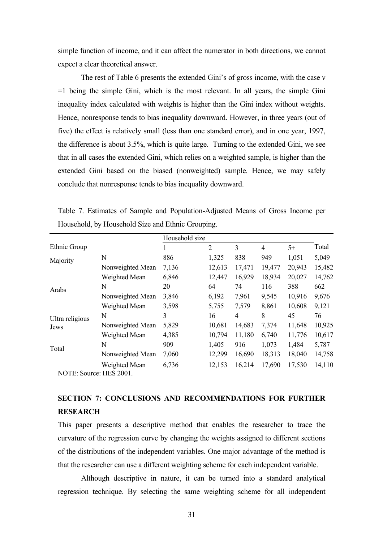simple function of income, and it can affect the numerator in both directions, we cannot expect a clear theoretical answer.

The rest of Table 6 presents the extended Gini's of gross income, with the case ν  $=1$  being the simple Gini, which is the most relevant. In all years, the simple Gini inequality index calculated with weights is higher than the Gini index without weights. Hence, nonresponse tends to bias inequality downward. However, in three years (out of five) the effect is relatively small (less than one standard error), and in one year, 1997, the difference is about 3.5%, which is quite large. Turning to the extended Gini, we see that in all cases the extended Gini, which relies on a weighted sample, is higher than the extended Gini based on the biased (nonweighted) sample. Hence, we may safely conclude that nonresponse tends to bias inequality downward.

|                 |                  |       | Household size |        |        |        |        |  |  |
|-----------------|------------------|-------|----------------|--------|--------|--------|--------|--|--|
| Ethnic Group    |                  | 1     | $\overline{2}$ | 3      | 4      | $5+$   | Total  |  |  |
| Majority        | N                | 886   | 1,325          | 838    | 949    | 1,051  | 5,049  |  |  |
|                 | Nonweighted Mean | 7,136 | 12,613         | 17,471 | 19,477 | 20,943 | 15,482 |  |  |
|                 | Weighted Mean    | 6,846 | 12,447         | 16,929 | 18,934 | 20,027 | 14,762 |  |  |
| Arabs           | N                | 20    | 64             | 74     | 116    | 388    | 662    |  |  |
|                 | Nonweighted Mean | 3,846 | 6,192          | 7,961  | 9,545  | 10,916 | 9,676  |  |  |
|                 | Weighted Mean    | 3,598 | 5,755          | 7,579  | 8,861  | 10,608 | 9,121  |  |  |
| Ultra religious | N                | 3     | 16             | 4      | 8      | 45     | 76     |  |  |
| Jews            | Nonweighted Mean | 5,829 | 10,681         | 14,683 | 7,374  | 11,648 | 10,925 |  |  |
|                 | Weighted Mean    | 4,385 | 10,794         | 11,180 | 6,740  | 11,776 | 10,617 |  |  |
| Total           | N                | 909   | 1,405          | 916    | 1,073  | 1,484  | 5,787  |  |  |
|                 | Nonweighted Mean | 7,060 | 12,299         | 16,690 | 18,313 | 18,040 | 14,758 |  |  |
|                 | Weighted Mean    | 6,736 | 12,153         | 16,214 | 17,690 | 17,530 | 14,110 |  |  |

Table 7. Estimates of Sample and Population-Adjusted Means of Gross Income per Household, by Household Size and Ethnic Grouping.

NOTE: Source: HES 2001.

# **SECTION 7: CONCLUSIONS AND RECOMMENDATIONS FOR FURTHER RESEARCH**

This paper presents a descriptive method that enables the researcher to trace the curvature of the regression curve by changing the weights assigned to different sections of the distributions of the independent variables. One major advantage of the method is that the researcher can use a different weighting scheme for each independent variable.

Although descriptive in nature, it can be turned into a standard analytical regression technique. By selecting the same weighting scheme for all independent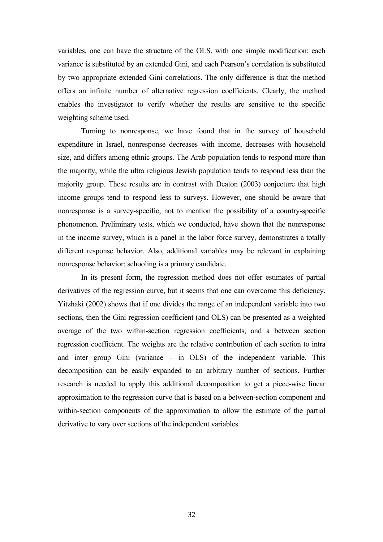variables, one can have the structure of the OLS, with one simple modification: each variance is substituted by an extended Gini, and each Pearson's correlation is substituted by two appropriate extended Gini correlations. The only difference is that the method offers an infinite number of alternative regression coefficients. Clearly, the method enables the investigator to verify whether the results are sensitive to the specific weighting scheme used.

Turning to nonresponse, we have found that in the survey of household expenditure in Israel, nonresponse decreases with income, decreases with household size, and differs among ethnic groups. The Arab population tends to respond more than the majority, while the ultra religious Jewish population tends to respond less than the majority group. These results are in contrast with Deaton (2003) conjecture that high income groups tend to respond less to surveys. However, one should be aware that nonresponse is a survey-specific, not to mention the possibility of a country-specific phenomenon. Preliminary tests, which we conducted, have shown that the nonresponse in the income survey, which is a panel in the labor force survey, demonstrates a totally different response behavior. Also, additional variables may be relevant in explaining nonresponse behavior: schooling is a primary candidate.

In its present form, the regression method does not offer estimates of partial derivatives of the regression curve, but it seems that one can overcome this deficiency. Yitzhaki (2002) shows that if one divides the range of an independent variable into two sections, then the Gini regression coefficient (and OLS) can be presented as a weighted average of the two within-section regression coefficients, and a between section regression coefficient. The weights are the relative contribution of each section to intra and inter group Gini (variance – in OLS) of the independent variable. This decomposition can be easily expanded to an arbitrary number of sections. Further research is needed to apply this additional decomposition to get a piece-wise linear approximation to the regression curve that is based on a between-section component and within-section components of the approximation to allow the estimate of the partial derivative to vary over sections of the independent variables.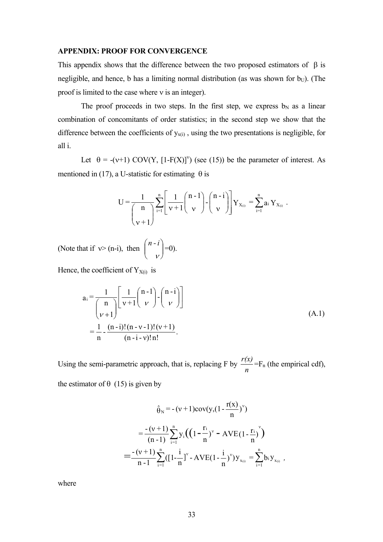#### **APPENDIX: PROOF FOR CONVERGENCE**

This appendix shows that the difference between the two proposed estimators of  $\beta$  is negligible, and hence, b has a limiting normal distribution (as was shown for  $b_U$ ). (The proof is limited to the case where  $\nu$  is an integer).

The proof proceeds in two steps. In the first step, we express  $b_N$  as a linear combination of concomitants of order statistics; in the second step we show that the difference between the coefficients of  $y_{x(i)}$ , using the two presentations is negligible, for all i.

Let  $\theta = -(v+1)$  COV(Y, [1-F(X)]<sup>v</sup>) (see (15)) be the parameter of interest. As mentioned in (17), a U-statistic for estimating  $\theta$  is

$$
U\!=\!\frac{1}{\left(\begin{array}{c}n\\v+1\end{array}\!\right)}\sum_{i=1}^n\!\!\left[\frac{1}{\nu+1}\!\!\left(\begin{array}{c}n-1\\v\end{array}\!\right)\!-\!\!\left(\begin{array}{c}n-i\\v\end{array}\!\right)\right]\!Y_{X_{(i)}}=\!\sum_{i=1}^na_i\,Y_{X_{(i)}}\enspace.
$$

(Note that if  $v > (n-i)$ , then  $\begin{bmatrix} n & i \\ i & j \end{bmatrix}$  $\bigg)$  $\setminus$  $\overline{\phantom{a}}$  $\setminus$ ſ ν *n -i* =0).

Hence, the coefficient of  $Y_{X(i)}$  is

$$
a_{i} = \frac{1}{\binom{n}{\nu+1}} \left[ \frac{1}{\nu+1} \binom{n-1}{\nu} - \binom{n-i}{\nu} \right]
$$
  
= 
$$
\frac{1}{n} - \frac{(n-i)!(n-\nu-1)!(\nu+1)}{(n-i-\nu)!n!}.
$$
 (A.1)

Using the semi-parametric approach, that is, replacing F by *n*  $\frac{r(x)}{r(x)} = F_n$  (the empirical cdf), the estimator of  $\theta$  (15) is given by

$$
\hat{\theta}_{N} = -(v+1)cov(y,(1-\frac{r(x)}{n})^{v})
$$
\n
$$
= \frac{-(v+1)}{(n-1)} \sum_{i=1}^{n} y_{i} ((1-\frac{r_{i}}{n})^{v} - AVE(1-\frac{r_{i}}{n})^{v})
$$
\n
$$
= \frac{-(v+1)}{n-1} \sum_{i=1}^{n} ([1-\frac{1}{n}]^{v} - AVE(1-\frac{1}{n})^{v}) y_{x_{(i)}} = \sum_{i=1}^{n} b_{i} y_{x_{(i)}},
$$

where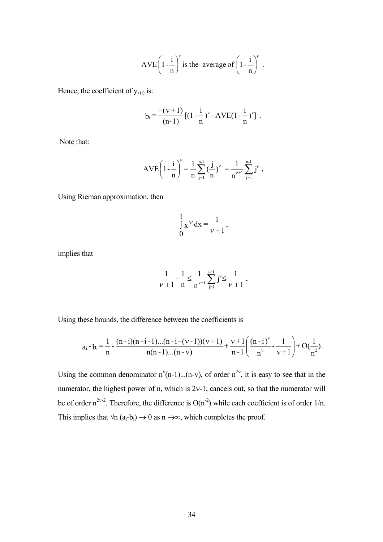$$
AVE\left(1-\frac{i}{n}\right)^{v} \text{ is the average of } \left(1-\frac{i}{n}\right)^{v} .
$$

Hence, the coefficient of  $y_{x(i)}$  is:

$$
b_i = \frac{- (v + 1)}{(n-1)} [(1 - \frac{i}{n})^v - AVE(1 - \frac{i}{n})^v].
$$

Note that:

$$
AVE\left(1-\frac{i}{n}\right)^{\nu} = \frac{1}{n}\sum_{j=1}^{n-1} \left(\frac{j}{n}\right)^{\nu} = \frac{1}{n^{\nu+1}}\sum_{j=1}^{n-1} j^{\nu}.
$$

Using Rieman approximation, then

$$
\int_{0}^{1} x^{\nu} dx = \frac{1}{\nu + 1},
$$

implies that

$$
\frac{1}{\nu+1}-\frac{1}{n}\leq \frac{1}{n^{\nu+1}}\sum_{j=1}^{n-1}j^{\nu}\leq \frac{1}{\nu+1}\;.
$$

Using these bounds, the difference between the coefficients is

$$
a_i - b_i = \frac{1}{n} - \frac{(n-i)(n-i-1)...(n-i-(v-1))(v+1)}{n(n-1)...(n-v)} + \frac{v+1}{n-1} \left( \frac{(n-i)^v}{n^v} - \frac{1}{v+1} \right) + O(\frac{1}{n^2}).
$$

Using the common denominator n<sup>v</sup>(n-1)...(n-v), of order n<sup>2v</sup>, it is easy to see that in the numerator, the highest power of n, which is 2ν-1, cancels out, so that the numerator will be of order  $n^{2v-2}$ . Therefore, the difference is  $O(n^{-2})$  while each coefficient is of order  $1/n$ . This implies that  $\sqrt{n} (a_i-b_i) \rightarrow 0$  as  $n \rightarrow \infty$ , which completes the proof.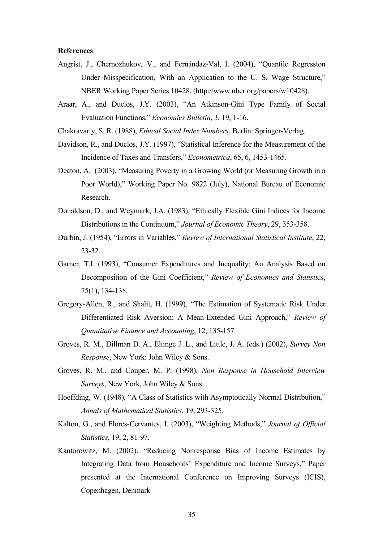#### **References**:

- Angrist, J., Chernozhukov, V., and Fernándaz-Val, I. (2004), "Quantile Regression Under Misspecification, With an Application to the U. S. Wage Structure," NBER Working Paper Series 10428, (http://www.nber.org/papers/w10428).
- Araar, A., and Duclos, J.Y. (2003), "An Atkinson-Gini Type Family of Social Evaluation Functions," *Economics Bulletin*, 3, 19, 1-16.
- Chakravarty, S. R. (1988), *Ethical Social Index Numbers*, Berlin: Springer-Verlag.
- Davidson, R., and Duclos, J.Y. (1997), "Statistical Inference for the Measurement of the Incidence of Taxes and Transfers," *Econometrica*, 65, 6, 1453-1465.
- Deaton, A. (2003), "Measuring Poverty in a Growing World (or Measuring Growth in a Poor World)," Working Paper No. 9822 (July), National Bureau of Economic Research.
- Donaldson, D., and Weymark, J.A. (1983), "Ethically Flexible Gini Indices for Income Distributions in the Continuum," *Journal of Economic Theory*, 29, 353-358.
- Durbin, J. (1954), "Errors in Variables," *Review of International Statistical Institute*, 22, 23-32.
- Garner, T.I. (1993), "Consumer Expenditures and Inequality: An Analysis Based on Decomposition of the Gini Coefficient," *Review of Economics and Statistics*, 75(1), 134-138.
- Gregory-Allen, R., and Shalit, H. (1999), "The Estimation of Systematic Risk Under Differentiated Risk Aversion: A Mean-Extended Gini Approach," *Review of Quantitative Finance and Accounting*, 12, 135-157.
- Groves, R. M., Dillman D. A., Eltinge J. L., and Little, J. A. (eds.) (2002), *Survey Non Response*, New York: John Wiley & Sons.
- Groves, R. M., and Couper, M. P. (1998), *Non Response in Household Interview Surveys*, New York, John Wiley & Sons.
- Hoeffding, W. (1948), "A Class of Statistics with Asymptotically Normal Distribution," *Annals of Mathematical Statistics*, 19, 293-325.
- Kalton, G., and Flores-Cervantes, I. (2003), "Weighting Methods," *Journal of Official Statistics,* 19, 2, 81-97.
- Kantorowitz, M. (2002). "Reducing Nonresponse Bias of Income Estimates by Integrating Data from Households' Expenditure and Income Surveys," Paper presented at the International Conference on Improving Surveys (ICIS), Copenhagen, Denmark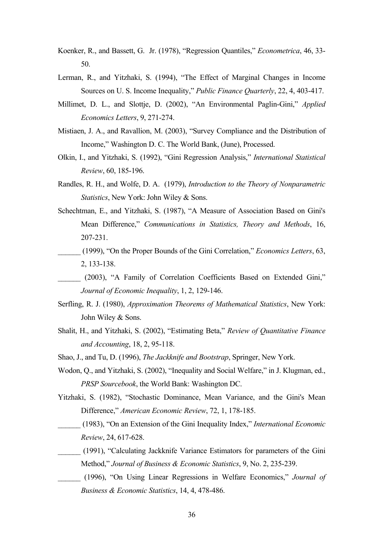- Koenker, R., and Bassett, G. Jr. (1978), "Regression Quantiles," *Econometrica*, 46, 33- 50.
- Lerman, R., and Yitzhaki, S. (1994), "The Effect of Marginal Changes in Income Sources on U. S. Income Inequality," *Public Finance Quarterly*, 22, 4, 403-417.
- Millimet, D. L., and Slottje, D. (2002), "An Environmental Paglin-Gini," *Applied Economics Letters*, 9, 271-274.
- Mistiaen, J. A., and Ravallion, M. (2003), "Survey Compliance and the Distribution of Income," Washington D. C. The World Bank, (June), Processed.
- Olkin, I., and Yitzhaki, S. (1992), "Gini Regression Analysis," *International Statistical Review*, 60, 185-196.
- Randles, R. H., and Wolfe, D. A. (1979), *Introduction to the Theory of Nonparametric Statistics*, New York: John Wiley & Sons.
- Schechtman, E., and Yitzhaki, S. (1987), "A Measure of Association Based on Gini's Mean Difference," *Communications in Statistics, Theory and Methods*, 16, 207-231.
- \_\_\_\_\_\_ (1999), "On the Proper Bounds of the Gini Correlation," *Economics Letters*, 63, 2, 133-138.
- \_\_\_\_\_\_ (2003), "A Family of Correlation Coefficients Based on Extended Gini," *Journal of Economic Inequality*, 1, 2, 129-146.
- Serfling, R. J. (1980), *Approximation Theorems of Mathematical Statistics*, New York: John Wiley & Sons.
- Shalit, H., and Yitzhaki, S. (2002), "Estimating Beta," *Review of Quantitative Finance and Accounting*, 18, 2, 95-118.
- Shao, J., and Tu, D. (1996), *The Jackknife and Bootstrap*, Springer, New York.
- Wodon, Q., and Yitzhaki, S. (2002), "Inequality and Social Welfare," in J. Klugman, ed., *PRSP Sourcebook*, the World Bank: Washington DC.
- Yitzhaki, S. (1982), "Stochastic Dominance, Mean Variance, and the Gini's Mean Difference," *American Economic Review*, 72, 1, 178-185.
	- \_\_\_\_\_\_ (1983), "On an Extension of the Gini Inequality Index," *International Economic Review*, 24, 617-628.
- \_\_\_\_\_\_ (1991), "Calculating Jackknife Variance Estimators for parameters of the Gini Method," *Journal of Business & Economic Statistics*, 9, No. 2, 235-239.
- \_\_\_\_\_\_ (1996), "On Using Linear Regressions in Welfare Economics," *Journal of Business & Economic Statistics*, 14, 4, 478-486.